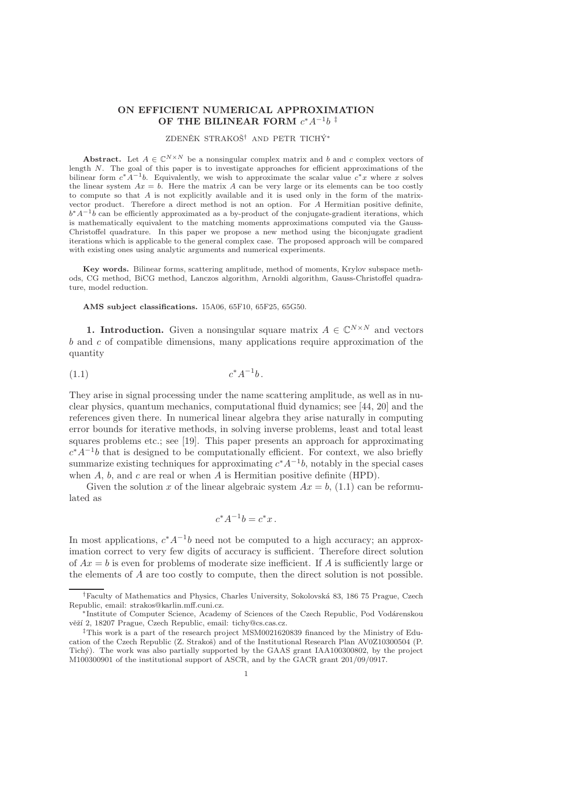## ON EFFICIENT NUMERICAL APPROXIMATION OF THE BILINEAR FORM  $c^*A^{-1}b$ <sup>#</sup>

# ZDENĚK STRAKOŠ<sup>†</sup> AND PETR TICHÝ<sup>\*</sup>

**Abstract.** Let  $A \in \mathbb{C}^{N \times N}$  be a nonsingular complex matrix and b and c complex vectors of length N. The goal of this paper is to investigate approaches for efficient approximations of the bilinear form  $c^*A^{-1}b$ . Equivalently, we wish to approximate the scalar value  $c^*x$  where x solves the linear system  $Ax = b$ . Here the matrix A can be very large or its elements can be too costly to compute so that A is not explicitly available and it is used only in the form of the matrixvector product. Therefore a direct method is not an option. For A Hermitian positive definite,  $b^*A^{-1}b$  can be efficiently approximated as a by-product of the conjugate-gradient iterations, which is mathematically equivalent to the matching moments approximations computed via the Gauss-Christoffel quadrature. In this paper we propose a new method using the biconjugate gradient iterations which is applicable to the general complex case. The proposed approach will be compared with existing ones using analytic arguments and numerical experiments.

Key words. Bilinear forms, scattering amplitude, method of moments, Krylov subspace methods, CG method, BiCG method, Lanczos algorithm, Arnoldi algorithm, Gauss-Christoffel quadrature, model reduction.

AMS subject classifications. 15A06, 65F10, 65F25, 65G50.

**1. Introduction.** Given a nonsingular square matrix  $A \in \mathbb{C}^{N \times N}$  and vectors  $b$  and  $c$  of compatible dimensions, many applications require approximation of the quantity

$$
(1.1) \t\t c^* A^{-1} b.
$$

They arise in signal processing under the name scattering amplitude, as well as in nuclear physics, quantum mechanics, computational fluid dynamics; see [44, 20] and the references given there. In numerical linear algebra they arise naturally in computing error bounds for iterative methods, in solving inverse problems, least and total least squares problems etc.; see [19]. This paper presents an approach for approximating  $c^*A^{-1}b$  that is designed to be computationally efficient. For context, we also briefly summarize existing techniques for approximating  $c^*A^{-1}b$ , notably in the special cases when  $A$ ,  $b$ , and  $c$  are real or when  $A$  is Hermitian positive definite (HPD).

Given the solution x of the linear algebraic system  $Ax = b$ , (1.1) can be reformulated as

$$
c^*A^{-1}b = c^*x.
$$

In most applications,  $c^* A^{-1} b$  need not be computed to a high accuracy; an approximation correct to very few digits of accuracy is sufficient. Therefore direct solution of  $Ax = b$  is even for problems of moderate size inefficient. If A is sufficiently large or the elements of A are too costly to compute, then the direct solution is not possible.

<sup>&</sup>lt;sup>†</sup>Faculty of Mathematics and Physics, Charles University, Sokolovská 83, 186 75 Prague, Czech Republic, email: strakos@karlin.mff.cuni.cz.

<sup>\*</sup>Institute of Computer Science, Academy of Sciences of the Czech Republic, Pod Vodárenskou věží 2, 18207 Prague, Czech Republic, email: tichy@cs.cas.cz.

<sup>‡</sup>This work is a part of the research project MSM0021620839 financed by the Ministry of Education of the Czech Republic (Z. Strakoš) and of the Institutional Research Plan AV0Z10300504 (P. Tich´y). The work was also partially supported by the GAAS grant IAA100300802, by the project M100300901 of the institutional support of ASCR, and by the GACR grant 201/09/0917.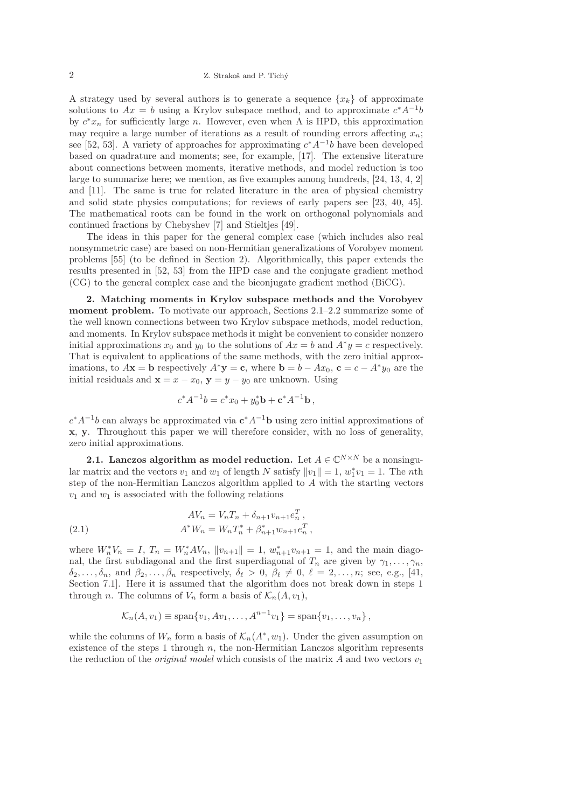A strategy used by several authors is to generate a sequence  $\{x_k\}$  of approximate solutions to  $Ax = b$  using a Krylov subspace method, and to approximate  $c^*A^{-1}b$ by  $c^*x_n$  for sufficiently large n. However, even when A is HPD, this approximation may require a large number of iterations as a result of rounding errors affecting  $x_n$ ; see [52, 53]. A variety of approaches for approximating  $c^* A^{-1} b$  have been developed based on quadrature and moments; see, for example, [17]. The extensive literature about connections between moments, iterative methods, and model reduction is too large to summarize here; we mention, as five examples among hundreds, [24, 13, 4, 2] and [11]. The same is true for related literature in the area of physical chemistry and solid state physics computations; for reviews of early papers see [23, 40, 45]. The mathematical roots can be found in the work on orthogonal polynomials and continued fractions by Chebyshev [7] and Stieltjes [49].

The ideas in this paper for the general complex case (which includes also real nonsymmetric case) are based on non-Hermitian generalizations of Vorobyev moment problems [55] (to be defined in Section 2). Algorithmically, this paper extends the results presented in [52, 53] from the HPD case and the conjugate gradient method (CG) to the general complex case and the biconjugate gradient method (BiCG).

2. Matching moments in Krylov subspace methods and the Vorobyev moment problem. To motivate our approach, Sections  $2.1-2.2$  summarize some of the well known connections between two Krylov subspace methods, model reduction, and moments. In Krylov subspace methods it might be convenient to consider nonzero initial approximations  $x_0$  and  $y_0$  to the solutions of  $Ax = b$  and  $A^*y = c$  respectively. That is equivalent to applications of the same methods, with the zero initial approximations, to  $A\mathbf{x} = \mathbf{b}$  respectively  $A^*\mathbf{y} = \mathbf{c}$ , where  $\mathbf{b} = b - Ax_0$ ,  $\mathbf{c} = c - A^*y_0$  are the initial residuals and  $\mathbf{x} = x - x_0$ ,  $\mathbf{y} = y - y_0$  are unknown. Using

$$
c^*A^{-1}b = c^*x_0 + y_0^*b + c^*A^{-1}b,
$$

 $c^*A^{-1}b$  can always be approximated via  $c^*A^{-1}b$  using zero initial approximations of x, y. Throughout this paper we will therefore consider, with no loss of generality, zero initial approximations.

**2.1.** Lanczos algorithm as model reduction. Let  $A \in \mathbb{C}^{N \times N}$  be a nonsingular matrix and the vectors  $v_1$  and  $w_1$  of length N satisfy  $||v_1|| = 1$ ,  $w_1^* v_1 = 1$ . The *n*th step of the non-Hermitian Lanczos algorithm applied to A with the starting vectors  $v_1$  and  $w_1$  is associated with the following relations

(2.1) 
$$
AV_n = V_n T_n + \delta_{n+1} v_{n+1} e_n^T,
$$

$$
A^* W_n = W_n T_n^* + \beta_{n+1}^* w_{n+1} e_n^T,
$$

where  $W_n^* V_n = I$ ,  $T_n = W_n^* A V_n$ ,  $||v_{n+1}|| = 1$ ,  $w_{n+1}^* v_{n+1} = 1$ , and the main diagonal, the first subdiagonal and the first superdiagonal of  $T_n$  are given by  $\gamma_1, \ldots, \gamma_n$ ,  $\delta_2, \ldots, \delta_n$ , and  $\beta_2, \ldots, \beta_n$  respectively,  $\delta_\ell > 0$ ,  $\beta_\ell \neq 0$ ,  $\ell = 2, \ldots, n$ ; see, e.g., [41, Section 7.1]. Here it is assumed that the algorithm does not break down in steps 1 through n. The columns of  $V_n$  form a basis of  $\mathcal{K}_n(A, v_1)$ ,

$$
\mathcal{K}_n(A, v_1) \equiv \text{span}\{v_1, Av_1, \ldots, A^{n-1}v_1\} = \text{span}\{v_1, \ldots, v_n\},\,
$$

while the columns of  $W_n$  form a basis of  $\mathcal{K}_n(A^*, w_1)$ . Under the given assumption on existence of the steps 1 through  $n$ , the non-Hermitian Lanczos algorithm represents the reduction of the *original model* which consists of the matrix A and two vectors  $v_1$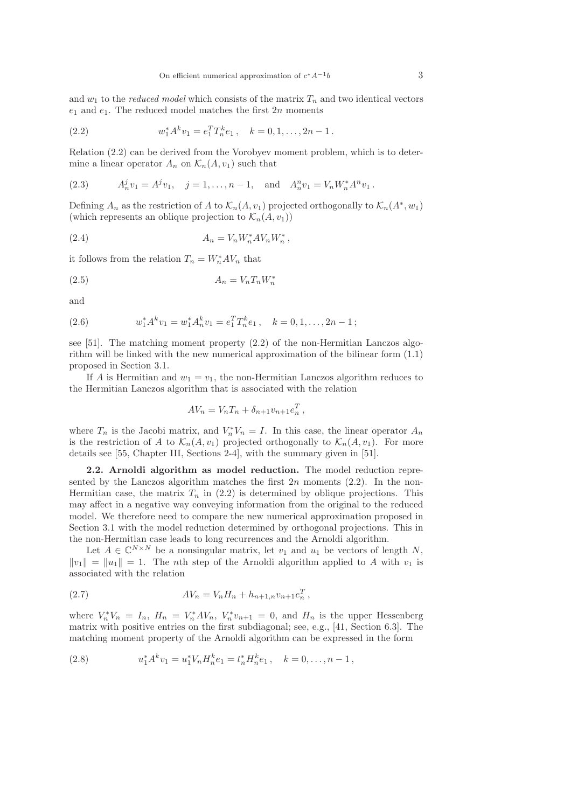and  $w_1$  to the *reduced model* which consists of the matrix  $T_n$  and two identical vectors  $e_1$  and  $e_1$ . The reduced model matches the first  $2n$  moments

(2.2) 
$$
w_1^* A^k v_1 = e_1^T T_n^k e_1, \quad k = 0, 1, ..., 2n - 1.
$$

Relation (2.2) can be derived from the Vorobyev moment problem, which is to determine a linear operator  $A_n$  on  $\mathcal{K}_n(A, v_1)$  such that

(2.3) 
$$
A_n^j v_1 = A^j v_1, \quad j = 1, ..., n-1, \text{ and } A_n^n v_1 = V_n W_n^* A^n v_1.
$$

Defining  $A_n$  as the restriction of A to  $\mathcal{K}_n(A, v_1)$  projected orthogonally to  $\mathcal{K}_n(A^*, w_1)$ (which represents an oblique projection to  $\mathcal{K}_n(A, v_1)$ )

(2.4) 
$$
A_n = V_n W_n^* A V_n W_n^*,
$$

it follows from the relation  $T_n = W_n^* A V_n$  that

$$
(2.5) \t\t A_n = V_n T_n W_n^*
$$

and

(2.6) 
$$
w_1^* A^k v_1 = w_1^* A_n^k v_1 = e_1^T T_n^k e_1, \quad k = 0, 1, ..., 2n - 1;
$$

see [51]. The matching moment property (2.2) of the non-Hermitian Lanczos algorithm will be linked with the new numerical approximation of the bilinear form (1.1) proposed in Section 3.1.

If A is Hermitian and  $w_1 = v_1$ , the non-Hermitian Lanczos algorithm reduces to the Hermitian Lanczos algorithm that is associated with the relation

$$
AV_n = V_n T_n + \delta_{n+1} v_{n+1} e_n^T,
$$

where  $T_n$  is the Jacobi matrix, and  $V_n^*V_n = I$ . In this case, the linear operator  $A_n$ is the restriction of A to  $\mathcal{K}_n(A, v_1)$  projected orthogonally to  $\mathcal{K}_n(A, v_1)$ . For more details see [55, Chapter III, Sections 2-4], with the summary given in [51].

2.2. Arnoldi algorithm as model reduction. The model reduction represented by the Lanczos algorithm matches the first  $2n$  moments (2.2). In the non-Hermitian case, the matrix  $T_n$  in (2.2) is determined by oblique projections. This may affect in a negative way conveying information from the original to the reduced model. We therefore need to compare the new numerical approximation proposed in Section 3.1 with the model reduction determined by orthogonal projections. This in the non-Hermitian case leads to long recurrences and the Arnoldi algorithm.

Let  $A \in \mathbb{C}^{N \times N}$  be a nonsingular matrix, let  $v_1$  and  $u_1$  be vectors of length N,  $||v_1|| = ||u_1|| = 1$ . The nth step of the Arnoldi algorithm applied to A with  $v_1$  is associated with the relation

(2.7) 
$$
AV_n = V_n H_n + h_{n+1,n} v_{n+1} e_n^T,
$$

where  $V_n^*V_n = I_n$ ,  $H_n = V_n^*AV_n$ ,  $V_n^*v_{n+1} = 0$ , and  $H_n$  is the upper Hessenberg matrix with positive entries on the first subdiagonal; see, e.g., [41, Section 6.3]. The matching moment property of the Arnoldi algorithm can be expressed in the form

(2.8) 
$$
u_1^* A^k v_1 = u_1^* V_n H_n^k e_1 = t_n^* H_n^k e_1, \quad k = 0, \dots, n-1,
$$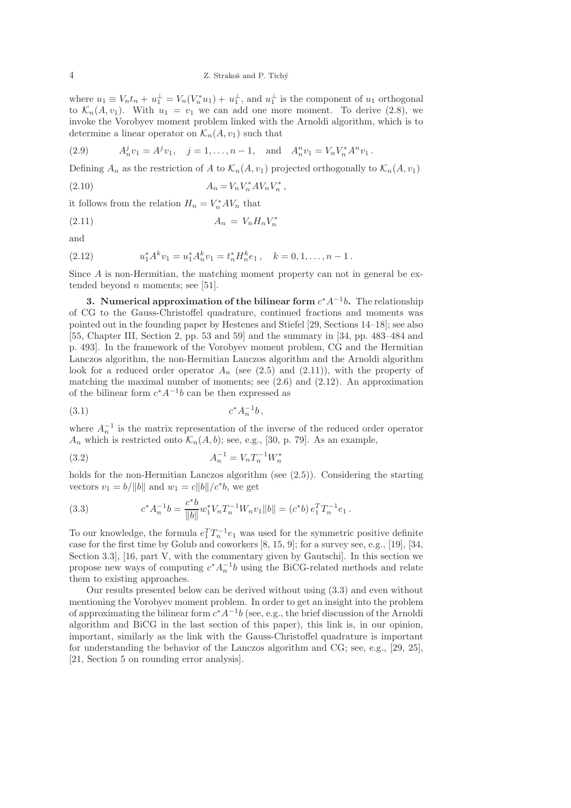where  $u_1 \equiv V_n t_n + u_1^{\perp} = V_n(V_n^* u_1) + u_1^{\perp}$ , and  $u_1^{\perp}$  is the component of  $u_1$  orthogonal to  $\mathcal{K}_n(A, v_1)$ . With  $u_1 = v_1$  we can add one more moment. To derive (2.8), we invoke the Vorobyev moment problem linked with the Arnoldi algorithm, which is to determine a linear operator on  $\mathcal{K}_n(A, v_1)$  such that

(2.9) 
$$
A_n^j v_1 = A^j v_1, \quad j = 1, ..., n-1, \text{ and } A_n^n v_1 = V_n V_n^* A^n v_1.
$$

Defining  $A_n$  as the restriction of A to  $\mathcal{K}_n(A, v_1)$  projected orthogonally to  $\mathcal{K}_n(A, v_1)$ 

(2.10) 
$$
A_n = V_n V_n^* A V_n V_n^*,
$$

it follows from the relation  $H_n = V_n^* A V_n$  that

$$
(2.11)\qquad \qquad A_n = V_n H_n V_n^*
$$

and

(2.12) 
$$
u_1^* A^k v_1 = u_1^* A_n^k v_1 = t_n^* H_n^k e_1, \quad k = 0, 1, \dots, n-1.
$$

Since A is non-Hermitian, the matching moment property can not in general be extended beyond  $n$  moments; see [51].

3. Numerical approximation of the bilinear form  $c^*A^{-1}b$ . The relationship of CG to the Gauss-Christoffel quadrature, continued fractions and moments was pointed out in the founding paper by Hestenes and Stiefel [29, Sections 14–18]; see also [55, Chapter III, Section 2, pp. 53 and 59] and the summary in [34, pp. 483–484 and p. 493]. In the framework of the Vorobyev moment problem, CG and the Hermitian Lanczos algorithm, the non-Hermitian Lanczos algorithm and the Arnoldi algorithm look for a reduced order operator  $A_n$  (see (2.5) and (2.11)), with the property of matching the maximal number of moments; see  $(2.6)$  and  $(2.12)$ . An approximation of the bilinear form  $c^*A^{-1}b$  can be then expressed as

$$
(3.1) \t\t c^* A_n^{-1} b,
$$

where  $A_n^{-1}$  is the matrix representation of the inverse of the reduced order operator  $A_n$  which is restricted onto  $\mathcal{K}_n(A, b)$ ; see, e.g., [30, p. 79]. As an example,

$$
(3.2)\qquad \qquad A_n^{-1} = V_n T_n^{-1} W_n^*
$$

holds for the non-Hermitian Lanczos algorithm (see  $(2.5)$ ). Considering the starting vectors  $v_1 = b/||b||$  and  $w_1 = c||b||/c^*b$ , we get

(3.3) 
$$
c^* A_n^{-1} b = \frac{c^* b}{\|b\|} w_1^* V_n T_n^{-1} W_n v_1 \|b\| = (c^* b) e_1^T T_n^{-1} e_1.
$$

To our knowledge, the formula  $e_1^T T_n^{-1} e_1$  was used for the symmetric positive definite case for the first time by Golub and coworkers [8, 15, 9]; for a survey see, e.g., [19], [34, Section 3.3], [16, part V, with the commentary given by Gautschi]. In this section we propose new ways of computing  $c^* A_n^{-1} b$  using the BiCG-related methods and relate them to existing approaches.

Our results presented below can be derived without using (3.3) and even without mentioning the Vorobyev moment problem. In order to get an insight into the problem of approximating the bilinear form  $c^*A^{-1}b$  (see, e.g., the brief discussion of the Arnoldi algorithm and BiCG in the last section of this paper), this link is, in our opinion, important, similarly as the link with the Gauss-Christoffel quadrature is important for understanding the behavior of the Lanczos algorithm and CG; see, e.g., [29, 25], [21, Section 5 on rounding error analysis].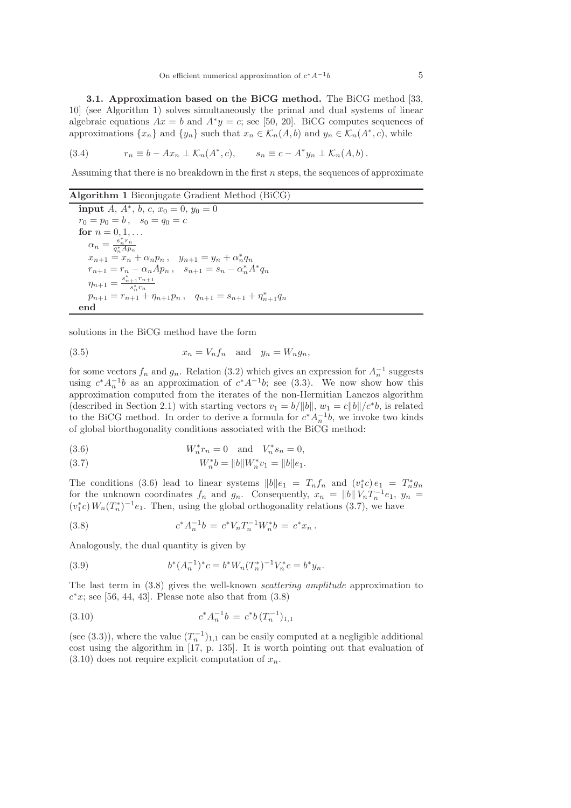3.1. Approximation based on the BiCG method. The BiCG method [33, 10] (see Algorithm 1) solves simultaneously the primal and dual systems of linear algebraic equations  $Ax = b$  and  $A^*y = c$ ; see [50, 20]. BiCG computes sequences of approximations  $\{x_n\}$  and  $\{y_n\}$  such that  $x_n \in \mathcal{K}_n(A, b)$  and  $y_n \in \mathcal{K}_n(A^*, c)$ , while

(3.4) 
$$
r_n \equiv b - Ax_n \perp \mathcal{K}_n(A^*, c), \qquad s_n \equiv c - A^* y_n \perp \mathcal{K}_n(A, b).
$$

Assuming that there is no breakdown in the first  $n$  steps, the sequences of approximate

Algorithm 1 Biconjugate Gradient Method (BiCG)

input  $A, A^*, b, c, x_0 = 0, y_0 = 0$  $r_0 = p_0 = b$ ,  $s_0 = q_0 = c$ for  $n = 0, 1, ...$  $\alpha_n = \frac{s_n^* r_n}{a^* A n}$  $\overline{q_n^*Ap_n}$  $x_{n+1} = x_n + \alpha_n p_n$ ,  $y_{n+1} = y_n + \alpha_n^* q_n$  $r_{n+1} = r_n - \alpha_n A p_n$ ,  $s_{n+1} = s_n - \alpha_n^* A^* q_n$  $\eta_{n+1} = \frac{s_{n+1}^* r_{n+1}}{s_*^* r_n}$  $\overline{s_n^*r_n}$  $p_{n+1} = r_{n+1} + \eta_{n+1}p_n$ ,  $q_{n+1} = s_{n+1} + \eta_{n+1}^*q_n$ end

solutions in the BiCG method have the form

(3.5) 
$$
x_n = V_n f_n \quad \text{and} \quad y_n = W_n g_n,
$$

for some vectors  $f_n$  and  $g_n$ . Relation (3.2) which gives an expression for  $A_n^{-1}$  suggests using  $c^*A_n^{-1}b$  as an approximation of  $c^*A^{-1}b$ ; see (3.3). We now show how this approximation computed from the iterates of the non-Hermitian Lanczos algorithm (described in Section 2.1) with starting vectors  $v_1 = b/||b||$ ,  $w_1 = c||b||/c^*b$ , is related to the BiCG method. In order to derive a formula for  $c^* A_n^{-1} b$ , we invoke two kinds of global biorthogonality conditions associated with the BiCG method:

(3.6) 
$$
W_n^* r_n = 0
$$
 and  $V_n^* s_n = 0$ ,

(3.7) 
$$
W_n^*b = ||b||W_n^*v_1 = ||b||e_1.
$$

The conditions (3.6) lead to linear systems  $||b||e_1 = T_nf_n$  and  $(v_1^*c)e_1 = T_n^*g_n$ for the unknown coordinates  $f_n$  and  $g_n$ . Consequently,  $x_n = ||b|| \overline{V_n} T_n^{-1} e_1$ ,  $y_n =$  $(v_1^*c)$   $W_n(T_n^*)^{-1}e_1$ . Then, using the global orthogonality relations (3.7), we have

(3.8) 
$$
c^* A_n^{-1} b = c^* V_n T_n^{-1} W_n^* b = c^* x_n.
$$

Analogously, the dual quantity is given by

(3.9) 
$$
b^*(A_n^{-1})^*c = b^*W_n(T_n^*)^{-1}V_n^*c = b^*y_n.
$$

The last term in (3.8) gives the well-known scattering amplitude approximation to  $c^*x$ ; see [56, 44, 43]. Please note also that from  $(3.8)$ 

(3.10) 
$$
c^* A_n^{-1} b = c^* b (T_n^{-1})_{1,1}
$$

(see (3.3)), where the value  $(T_n^{-1})_{1,1}$  can be easily computed at a negligible additional cost using the algorithm in [17, p. 135]. It is worth pointing out that evaluation of  $(3.10)$  does not require explicit computation of  $x_n$ .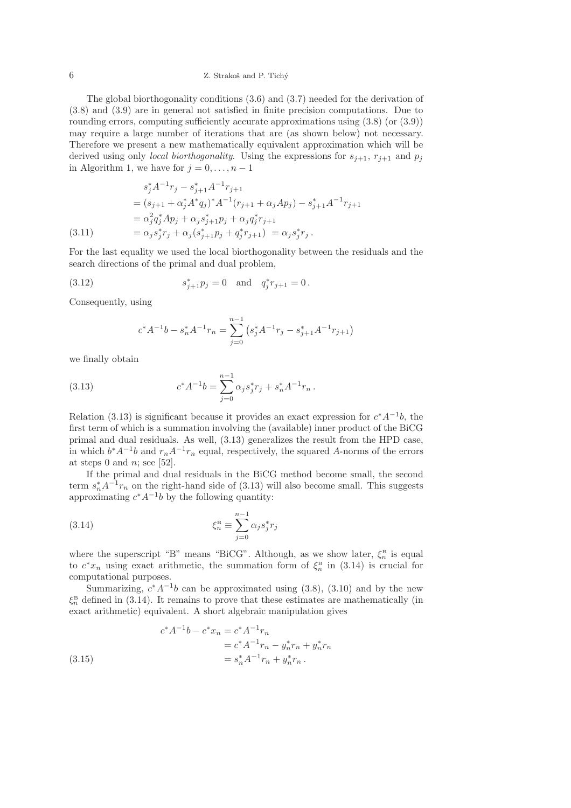### $Z$ . Strakoš and P. Tichý

The global biorthogonality conditions (3.6) and (3.7) needed for the derivation of (3.8) and (3.9) are in general not satisfied in finite precision computations. Due to rounding errors, computing sufficiently accurate approximations using (3.8) (or (3.9)) may require a large number of iterations that are (as shown below) not necessary. Therefore we present a new mathematically equivalent approximation which will be derived using only *local biorthogonality*. Using the expressions for  $s_{j+1}$ ,  $r_{j+1}$  and  $p_j$ in Algorithm 1, we have for  $j = 0, \ldots, n - 1$ 

$$
s_j^* A^{-1} r_j - s_{j+1}^* A^{-1} r_{j+1}
$$
  
=  $(s_{j+1} + \alpha_j^* A^* q_j)^* A^{-1} (r_{j+1} + \alpha_j A p_j) - s_{j+1}^* A^{-1} r_{j+1}$   
=  $\alpha_j^2 q_j^* A p_j + \alpha_j s_{j+1}^* p_j + \alpha_j q_j^* r_{j+1}$   
(3.11) =  $\alpha_j s_j^* r_j + \alpha_j (s_{j+1}^* p_j + q_j^* r_{j+1}) = \alpha_j s_j^* r_j.$ 

For the last equality we used the local biorthogonality between the residuals and the search directions of the primal and dual problem,

(3.12) 
$$
s_{j+1}^* p_j = 0 \text{ and } q_j^* r_{j+1} = 0.
$$

Consequently, using

$$
c^* A^{-1} b - s_n^* A^{-1} r_n = \sum_{j=0}^{n-1} \left( s_j^* A^{-1} r_j - s_{j+1}^* A^{-1} r_{j+1} \right)
$$

we finally obtain

(3.13) 
$$
c^* A^{-1} b = \sum_{j=0}^{n-1} \alpha_j s_j^* r_j + s_n^* A^{-1} r_n.
$$

Relation (3.13) is significant because it provides an exact expression for  $c^*A^{-1}b$ , the first term of which is a summation involving the (available) inner product of the BiCG primal and dual residuals. As well, (3.13) generalizes the result from the HPD case, in which  $b^*A^{-1}b$  and  $r_nA^{-1}r_n$  equal, respectively, the squared A-norms of the errors at steps 0 and  $n$ ; see [52].

If the primal and dual residuals in the BiCG method become small, the second term  $s_n^* A^{-1} r_n$  on the right-hand side of (3.13) will also become small. This suggests approximating  $c^*A^{-1}b$  by the following quantity:

(3.14) 
$$
\xi_n^{\mathbf{B}} \equiv \sum_{j=0}^{n-1} \alpha_j s_j^* r_j
$$

where the superscript "B" means "BiCG". Although, as we show later,  $\xi_n^{\text{B}}$  is equal to  $c^*x_n$  using exact arithmetic, the summation form of  $\xi_n^B$  in (3.14) is crucial for computational purposes.

Summarizing,  $c^*A^{-1}b$  can be approximated using (3.8), (3.10) and by the new  $\xi_n^{\text{B}}$  defined in (3.14). It remains to prove that these estimates are mathematically (in exact arithmetic) equivalent. A short algebraic manipulation gives

(3.15) 
$$
c^* A^{-1} b - c^* x_n = c^* A^{-1} r_n
$$

$$
= c^* A^{-1} r_n - y_n^* r_n + y_n^* r_n
$$

$$
= s_n^* A^{-1} r_n + y_n^* r_n.
$$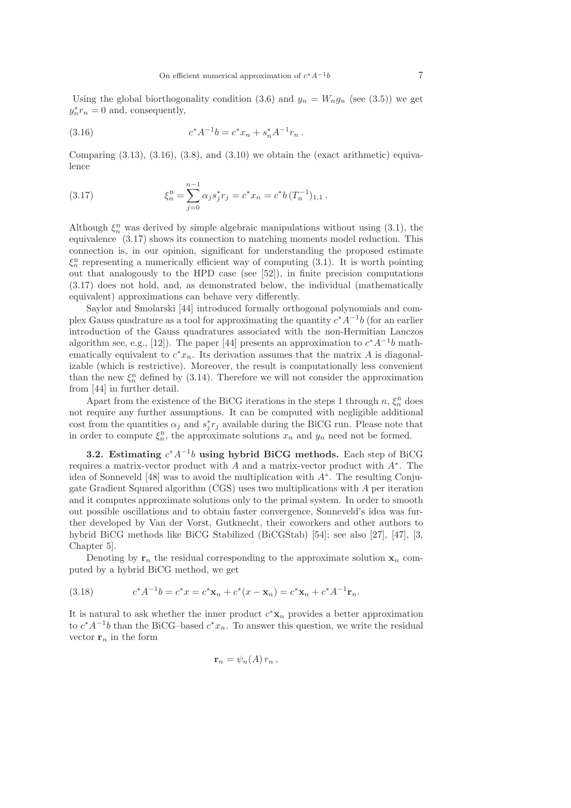Using the global biorthogonality condition (3.6) and  $y_n = W_n g_n$  (see (3.5)) we get  $y_n^* r_n = 0$  and, consequently,

(3.16) 
$$
c^* A^{-1} b = c^* x_n + s_n^* A^{-1} r_n.
$$

Comparing  $(3.13)$ ,  $(3.16)$ ,  $(3.8)$ , and  $(3.10)$  we obtain the (exact arithmetic) equivalence

(3.17) 
$$
\xi_n^{\text{B}} = \sum_{j=0}^{n-1} \alpha_j s_j^* r_j = c^* x_n = c^* b (T_n^{-1})_{1,1}.
$$

Although  $\xi_n^{\text{B}}$  was derived by simple algebraic manipulations without using (3.1), the equivalence (3.17) shows its connection to matching moments model reduction. This connection is, in our opinion, significant for understanding the proposed estimate  $\xi_n^{\text{B}}$  representing a numerically efficient way of computing (3.1). It is worth pointing out that analogously to the HPD case (see [52]), in finite precision computations (3.17) does not hold, and, as demonstrated below, the individual (mathematically equivalent) approximations can behave very differently.

Saylor and Smolarski [44] introduced formally orthogonal polynomials and complex Gauss quadrature as a tool for approximating the quantity  $c^*A^{-1}b$  (for an earlier introduction of the Gauss quadratures associated with the non-Hermitian Lanczos algorithm see, e.g., [12]). The paper [44] presents an approximation to  $c^*A^{-1}b$  mathematically equivalent to  $c^*x_n$ . Its derivation assumes that the matrix A is diagonalizable (which is restrictive). Moreover, the result is computationally less convenient than the new  $\xi_n^{\text{B}}$  defined by (3.14). Therefore we will not consider the approximation from [44] in further detail.

Apart from the existence of the BiCG iterations in the steps 1 through  $n, \xi_n^{\text{B}}$  does not require any further assumptions. It can be computed with negligible additional cost from the quantities  $\alpha_j$  and  $s_j^*r_j$  available during the BiCG run. Please note that in order to compute  $\xi_n^{\text{B}}$ , the approximate solutions  $x_n$  and  $y_n$  need not be formed.

3.2. Estimating  $c^*A^{-1}b$  using hybrid BiCG methods. Each step of BiCG requires a matrix-vector product with  $A$  and a matrix-vector product with  $A^*$ . The idea of Sonneveld [48] was to avoid the multiplication with A<sup>∗</sup> . The resulting Conjugate Gradient Squared algorithm (CGS) uses two multiplications with A per iteration and it computes approximate solutions only to the primal system. In order to smooth out possible oscillations and to obtain faster convergence, Sonneveld's idea was further developed by Van der Vorst, Gutknecht, their coworkers and other authors to hybrid BiCG methods like BiCG Stabilized (BiCGStab) [54]; see also [27], [47], [3, Chapter 5].

Denoting by  $r_n$  the residual corresponding to the approximate solution  $x_n$  computed by a hybrid BiCG method, we get

(3.18) 
$$
c^*A^{-1}b = c^*x = c^*x_n + c^*(x - x_n) = c^*x_n + c^*A^{-1}r_n.
$$

It is natural to ask whether the inner product  $c^* \mathbf{x}_n$  provides a better approximation to  $c^*A^{-1}b$  than the BiCG–based  $c^*x_n$ . To answer this question, we write the residual vector  $\mathbf{r}_n$  in the form

$$
\mathbf{r}_n = \psi_n(A) r_n ,
$$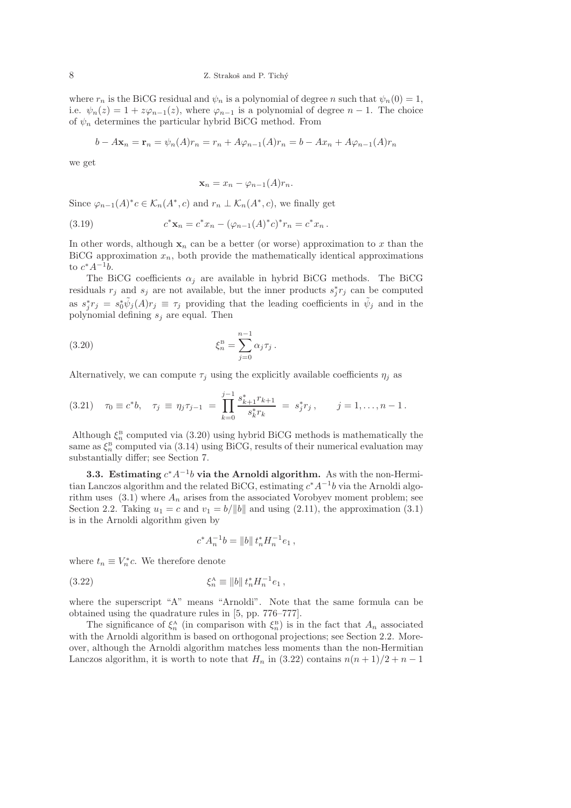where  $r_n$  is the BiCG residual and  $\psi_n$  is a polynomial of degree n such that  $\psi_n(0) = 1$ , i.e.  $\psi_n(z) = 1 + z\varphi_{n-1}(z)$ , where  $\varphi_{n-1}$  is a polynomial of degree  $n-1$ . The choice of  $\psi_n$  determines the particular hybrid BiCG method. From

$$
b - A\mathbf{x}_n = \mathbf{r}_n = \psi_n(A)r_n = r_n + A\varphi_{n-1}(A)r_n = b - Ax_n + A\varphi_{n-1}(A)r_n
$$

we get

$$
\mathbf{x}_n = x_n - \varphi_{n-1}(A)r_n.
$$

Since  $\varphi_{n-1}(A)^*c \in \mathcal{K}_n(A^*, c)$  and  $r_n \perp \mathcal{K}_n(A^*, c)$ , we finally get

(3.19) 
$$
c^* \mathbf{x}_n = c^* x_n - (\varphi_{n-1}(A)^* c)^* r_n = c^* x_n.
$$

In other words, although  $x_n$  can be a better (or worse) approximation to x than the BiCG approximation  $x_n$ , both provide the mathematically identical approximations to  $c^*A^{-1}b$ .

The BiCG coefficients  $\alpha_i$  are available in hybrid BiCG methods. The BiCG residuals  $r_j$  and  $s_j$  are not available, but the inner products  $s_j^*r_j$  can be computed as  $s_j^* r_j = s_0^* \tilde{\psi}_j(A) r_j \equiv \tau_j$  providing that the leading coefficients in  $\tilde{\psi}_j$  and in the polynomial defining  $s_i$  are equal. Then

(3.20) 
$$
\xi_n^{\text{B}} = \sum_{j=0}^{n-1} \alpha_j \tau_j \, .
$$

Alternatively, we can compute  $\tau_i$  using the explicitly available coefficients  $\eta_i$  as

$$
(3.21) \quad \tau_0 \equiv c^*b, \quad \tau_j \equiv \eta_j \tau_{j-1} = \prod_{k=0}^{j-1} \frac{s_{k+1}^* r_{k+1}}{s_k^* r_k} = s_j^* r_j, \qquad j = 1, \ldots, n-1.
$$

Although  $\xi_n^{\text{B}}$  computed via (3.20) using hybrid BiCG methods is mathematically the same as  $\xi_n^{\text{B}}$  computed via (3.14) using BiCG, results of their numerical evaluation may substantially differ; see Section 7.

3.3. Estimating  $c^*A^{-1}b$  via the Arnoldi algorithm. As with the non-Hermitian Lanczos algorithm and the related BiCG, estimating  $c^* A^{-1} b$  via the Arnoldi algorithm uses  $(3.1)$  where  $A_n$  arises from the associated Vorobyev moment problem; see Section 2.2. Taking  $u_1 = c$  and  $v_1 = b/||b||$  and using (2.11), the approximation (3.1) is in the Arnoldi algorithm given by

$$
c^* A_n^{-1} b = ||b|| \, t_n^* H_n^{-1} e_1 \,,
$$

where  $t_n \equiv V_n^*c$ . We therefore denote

(3.22) 
$$
\xi_n^{\mathbf{A}} \equiv ||b|| \, t_n^* H_n^{-1} e_1 \,,
$$

where the superscript "A" means "Arnoldi". Note that the same formula can be obtained using the quadrature rules in [5, pp. 776–777].

The significance of  $\xi_n^{\mathbf{A}}$  (in comparison with  $\xi_n^{\mathbf{B}}$ ) is in the fact that  $A_n$  associated with the Arnoldi algorithm is based on orthogonal projections; see Section 2.2. Moreover, although the Arnoldi algorithm matches less moments than the non-Hermitian Lanczos algorithm, it is worth to note that  $H_n$  in (3.22) contains  $n(n+1)/2 + n - 1$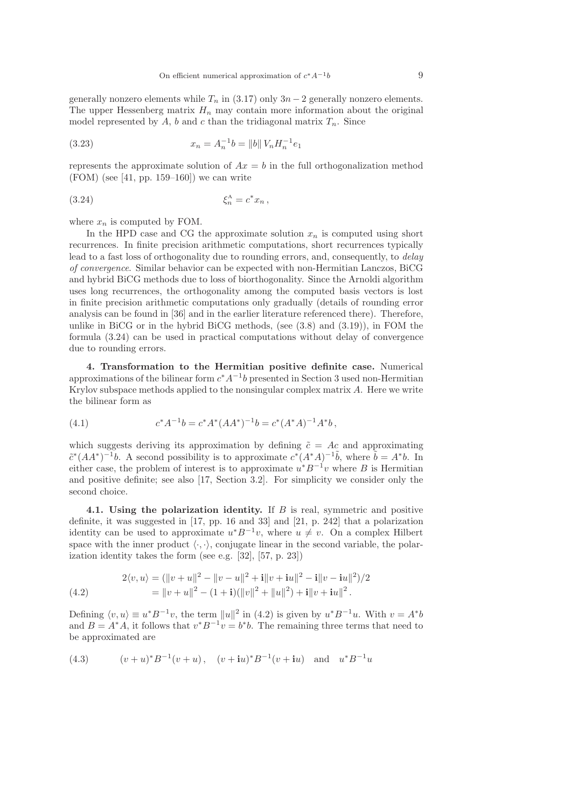generally nonzero elements while  $T_n$  in (3.17) only  $3n-2$  generally nonzero elements. The upper Hessenberg matrix  $H_n$  may contain more information about the original model represented by A, b and c than the tridiagonal matrix  $T_n$ . Since

(3.23) 
$$
x_n = A_n^{-1}b = ||b|| V_n H_n^{-1}e_1
$$

represents the approximate solution of  $Ax = b$  in the full orthogonalization method  $(FOM)$  (see [41, pp. 159–160]) we can write

(3.24) 
$$
\xi_n^A = c^* x_n ,
$$

where  $x_n$  is computed by FOM.

In the HPD case and CG the approximate solution  $x_n$  is computed using short recurrences. In finite precision arithmetic computations, short recurrences typically lead to a fast loss of orthogonality due to rounding errors, and, consequently, to delay of convergence. Similar behavior can be expected with non-Hermitian Lanczos, BiCG and hybrid BiCG methods due to loss of biorthogonality. Since the Arnoldi algorithm uses long recurrences, the orthogonality among the computed basis vectors is lost in finite precision arithmetic computations only gradually (details of rounding error analysis can be found in [36] and in the earlier literature referenced there). Therefore, unlike in BiCG or in the hybrid BiCG methods, (see (3.8) and (3.19)), in FOM the formula (3.24) can be used in practical computations without delay of convergence due to rounding errors.

4. Transformation to the Hermitian positive definite case. Numerical approximations of the bilinear form  $c^*A^{-1}b$  presented in Section 3 used non-Hermitian Krylov subspace methods applied to the nonsingular complex matrix  $A$ . Here we write the bilinear form as

(4.1) 
$$
c^* A^{-1} b = c^* A^* (A A^*)^{-1} b = c^* (A^* A)^{-1} A^* b,
$$

which suggests deriving its approximation by defining  $\tilde{c} = Ac$  and approximating  $\tilde{c}^*(AA^*)^{-1}b$ . A second possibility is to approximate  $c^*(A^*A)^{-1}\tilde{b}$ , where  $\tilde{b} = A^*b$ . In either case, the problem of interest is to approximate  $u^*B^{-1}v$  where B is Hermitian and positive definite; see also [17, Section 3.2]. For simplicity we consider only the second choice.

4.1. Using the polarization identity. If B is real, symmetric and positive definite, it was suggested in [17, pp. 16 and 33] and [21, p. 242] that a polarization identity can be used to approximate  $u^*B^{-1}v$ , where  $u \neq v$ . On a complex Hilbert space with the inner product  $\langle \cdot, \cdot \rangle$ , conjugate linear in the second variable, the polarization identity takes the form (see e.g. [32], [57, p. 23])

(4.2) 
$$
2\langle v, u \rangle = (\|v + u\|^2 - \|v - u\|^2 + i\|v + iu\|^2 - i\|v - iu\|^2)/2 = \|v + u\|^2 - (1 + i)(\|v\|^2 + \|u\|^2) + i\|v + iu\|^2.
$$

Defining  $\langle v, u \rangle \equiv u^* B^{-1} v$ , the term  $||u||^2$  in (4.2) is given by  $u^* B^{-1} u$ . With  $v = A^* b$ and  $B = A^*A$ , it follows that  $v^*B^{-1}v = b^*b$ . The remaining three terms that need to be approximated are

(4.3) 
$$
(v+u)^*B^{-1}(v+u), (v+iu)^*B^{-1}(v+iu)
$$
 and  $u^*B^{-1}u$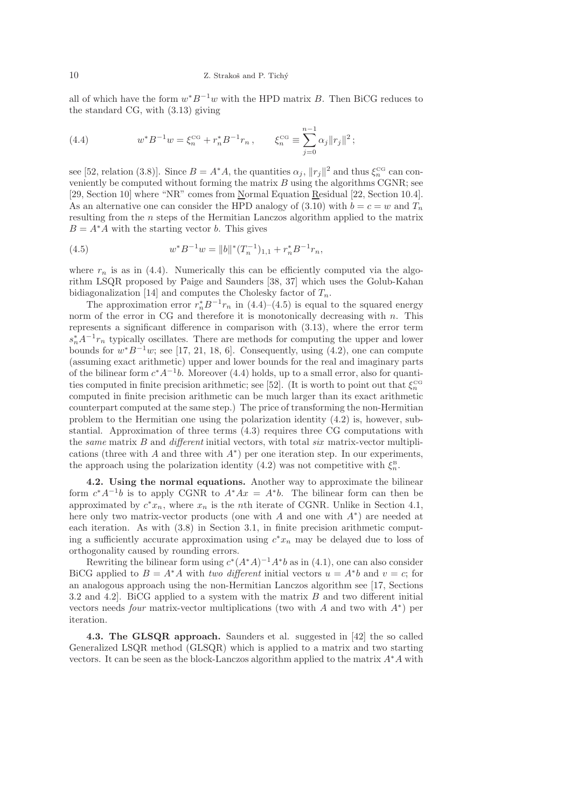all of which have the form  $w^*B^{-1}w$  with the HPD matrix B. Then BiCG reduces to the standard CG, with (3.13) giving

(4.4) 
$$
w^* B^{-1} w = \xi_n^{\text{CG}} + r_n^* B^{-1} r_n, \qquad \xi_n^{\text{CG}} \equiv \sum_{j=0}^{n-1} \alpha_j ||r_j||^2 ;
$$

see [52, relation (3.8)]. Since  $B = A^*A$ , the quantities  $\alpha_j$ ,  $||r_j||^2$  and thus  $\xi_n^{\text{CG}}$  can conveniently be computed without forming the matrix  $B$  using the algorithms CGNR; see [29, Section 10] where "NR" comes from Normal Equation Residual [22, Section 10.4]. As an alternative one can consider the HPD analogy of (3.10) with  $b = c = w$  and  $T_n$ resulting from the n steps of the Hermitian Lanczos algorithm applied to the matrix  $B = A^*A$  with the starting vector b. This gives

(4.5) 
$$
w^* B^{-1} w = ||b||^* (T_n^{-1})_{1,1} + r_n^* B^{-1} r_n,
$$

where  $r_n$  is as in (4.4). Numerically this can be efficiently computed via the algorithm LSQR proposed by Paige and Saunders [38, 37] which uses the Golub-Kahan bidiagonalization [14] and computes the Cholesky factor of  $T_n$ .

The approximation error  $r_n^* B^{-1} r_n$  in (4.4)–(4.5) is equal to the squared energy norm of the error in  $CG$  and therefore it is monotonically decreasing with  $n$ . This represents a significant difference in comparison with (3.13), where the error term  $s_n^* A^{-1} r_n$  typically oscillates. There are methods for computing the upper and lower bounds for  $w^*B^{-1}w$ ; see [17, 21, 18, 6]. Consequently, using (4.2), one can compute (assuming exact arithmetic) upper and lower bounds for the real and imaginary parts of the bilinear form  $c^*A^{-1}b$ . Moreover (4.4) holds, up to a small error, also for quantities computed in finite precision arithmetic; see [52]. (It is worth to point out that  $\xi_n^{\text{CG}}$ computed in finite precision arithmetic can be much larger than its exact arithmetic counterpart computed at the same step.) The price of transforming the non-Hermitian problem to the Hermitian one using the polarization identity (4.2) is, however, substantial. Approximation of three terms (4.3) requires three CG computations with the same matrix  $B$  and different initial vectors, with total six matrix-vector multiplications (three with A and three with  $A^*$ ) per one iteration step. In our experiments, the approach using the polarization identity (4.2) was not competitive with  $\xi_n^B$ .

4.2. Using the normal equations. Another way to approximate the bilinear form  $c^*A^{-1}b$  is to apply CGNR to  $A^*Ax = A^*b$ . The bilinear form can then be approximated by  $c^*x_n$ , where  $x_n$  is the *n*th iterate of CGNR. Unlike in Section 4.1, here only two matrix-vector products (one with  $A$  and one with  $A^*$ ) are needed at each iteration. As with (3.8) in Section 3.1, in finite precision arithmetic computing a sufficiently accurate approximation using  $c^*x_n$  may be delayed due to loss of orthogonality caused by rounding errors.

Rewriting the bilinear form using  $c^*(A^*A)^{-1}A^*b$  as in (4.1), one can also consider BiCG applied to  $B = A^*A$  with two different initial vectors  $u = A^*b$  and  $v = c$ ; for an analogous approach using the non-Hermitian Lanczos algorithm see [17, Sections 3.2 and 4.2]. BiCG applied to a system with the matrix B and two different initial vectors needs *four* matrix-vector multiplications (two with A and two with  $A^*$ ) per iteration.

4.3. The GLSQR approach. Saunders et al. suggested in [42] the so called Generalized LSQR method (GLSQR) which is applied to a matrix and two starting vectors. It can be seen as the block-Lanczos algorithm applied to the matrix  $A^*A$  with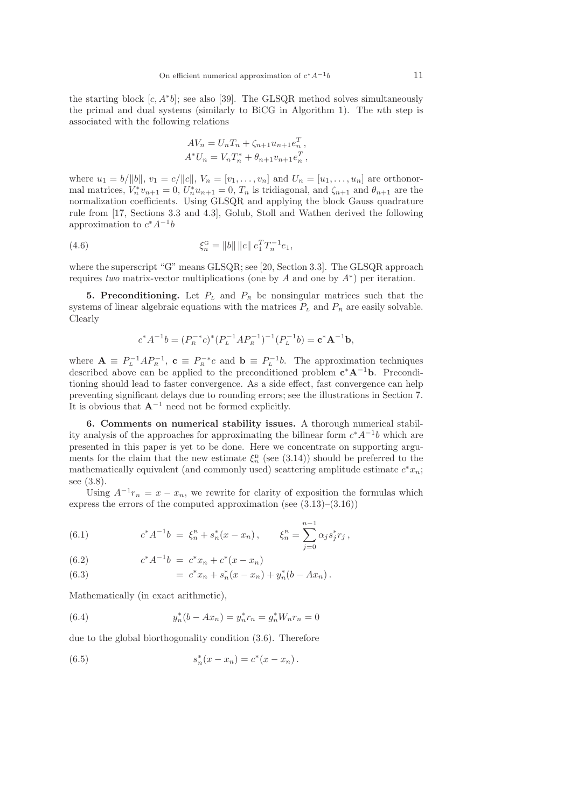the starting block  $[c, A^*b]$ ; see also [39]. The GLSQR method solves simultaneously the primal and dual systems (similarly to BiCG in Algorithm 1). The nth step is associated with the following relations

$$
AV_n = U_n T_n + \zeta_{n+1} u_{n+1} e_n^T,
$$
  

$$
A^* U_n = V_n T_n^* + \theta_{n+1} v_{n+1} e_n^T,
$$

where  $u_1 = b/||b||$ ,  $v_1 = c/||c||$ ,  $V_n = [v_1, \ldots, v_n]$  and  $U_n = [u_1, \ldots, u_n]$  are orthonormal matrices,  $V_n^* v_{n+1} = 0$ ,  $U_n^* u_{n+1} = 0$ ,  $T_n$  is tridiagonal, and  $\zeta_{n+1}$  and  $\theta_{n+1}$  are the normalization coefficients. Using GLSQR and applying the block Gauss quadrature rule from [17, Sections 3.3 and 4.3], Golub, Stoll and Wathen derived the following approximation to  $c^*A^{-1}b$ 

(4.6) 
$$
\xi_n^{\text{G}} = ||b|| ||c|| e_1^T T_n^{-1} e_1,
$$

where the superscript "G" means GLSQR; see [20, Section 3.3]. The GLSQR approach requires two matrix-vector multiplications (one by A and one by  $A^*$ ) per iteration.

5. Preconditioning. Let  $P<sub>L</sub>$  and  $P<sub>R</sub>$  be nonsingular matrices such that the systems of linear algebraic equations with the matrices  $P<sub>L</sub>$  and  $P<sub>R</sub>$  are easily solvable. Clearly

$$
c^*A^{-1}b = (P_R^{-*}c)^*(P_L^{-1}AP_R^{-1})^{-1}(P_L^{-1}b) = \mathbf{c}^*\mathbf{A}^{-1}\mathbf{b},
$$

where  $\mathbf{A} \equiv P_{L}^{-1}AP_{R}^{-1}$ ,  $\mathbf{c} \equiv P_{R}^{-*}c$  and  $\mathbf{b} \equiv P_{L}^{-1}b$ . The approximation techniques described above can be applied to the preconditioned problem  $c^*A^{-1}b$ . Preconditioning should lead to faster convergence. As a side effect, fast convergence can help preventing significant delays due to rounding errors; see the illustrations in Section 7. It is obvious that  $\mathbf{A}^{-1}$  need not be formed explicitly.

6. Comments on numerical stability issues. A thorough numerical stability analysis of the approaches for approximating the bilinear form  $c^* A^{-1} b$  which are presented in this paper is yet to be done. Here we concentrate on supporting arguments for the claim that the new estimate  $\xi_n^{\text{B}}$  (see (3.14)) should be preferred to the mathematically equivalent (and commonly used) scattering amplitude estimate  $c^*x_n$ ; see (3.8).

Using  $A^{-1}r_n = x - x_n$ , we rewrite for clarity of exposition the formulas which express the errors of the computed approximation (see  $(3.13)$ – $(3.16)$ )

(6.1) 
$$
c^* A^{-1} b = \xi_n^B + s_n^* (x - x_n), \qquad \xi_n^B = \sum_{j=0}^{n-1} \alpha_j s_j^* r_j,
$$

(6.2)  $c^* A^{-1} b = c^* x_n + c^* (x - x_n)$ 

(6.3) 
$$
= c^*x_n + s_n^*(x - x_n) + y_n^*(b - Ax_n).
$$

Mathematically (in exact arithmetic),

(6.4) 
$$
y_n^*(b - Ax_n) = y_n^* r_n = g_n^* W_n r_n = 0
$$

due to the global biorthogonality condition (3.6). Therefore

(6.5) 
$$
s_n^*(x - x_n) = c^*(x - x_n).
$$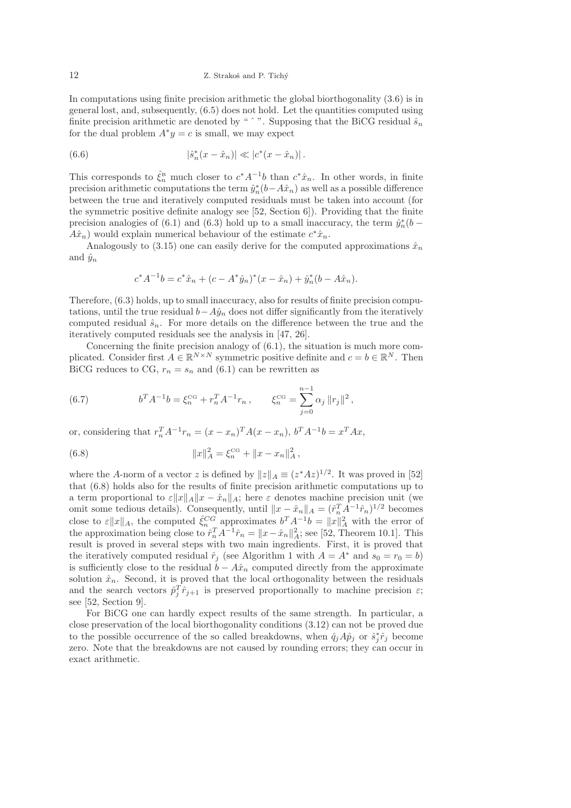In computations using finite precision arithmetic the global biorthogonality (3.6) is in general lost, and, subsequently, (6.5) does not hold. Let the quantities computed using finite precision arithmetic are denoted by "  $\hat{ }$ ". Supposing that the BiCG residual  $\hat{s}_n$ for the dual problem  $A^*y = c$  is small, we may expect

(6.6) 
$$
|\hat{s}_n^*(x - \hat{x}_n)| \ll |c^*(x - \hat{x}_n)|.
$$

This corresponds to  $\hat{\zeta}_n^{\text{B}}$  much closer to  $c^*A^{-1}b$  than  $c^*\hat{x}_n$ . In other words, in finite precision arithmetic computations the term  $\hat{y}_n^*(b - A\hat{x}_n)$  as well as a possible difference between the true and iteratively computed residuals must be taken into account (for the symmetric positive definite analogy see [52, Section 6]). Providing that the finite precision analogies of (6.1) and (6.3) hold up to a small inaccuracy, the term  $\hat{y}_n^*(b A\hat{x}_n$ ) would explain numerical behaviour of the estimate  $c^*\hat{x}_n$ .

Analogously to (3.15) one can easily derive for the computed approximations  $\hat{x}_n$ and  $\hat{y}_n$ 

$$
c^* A^{-1} b = c^* \hat{x}_n + (c - A^* \hat{y}_n)^* (x - \hat{x}_n) + \hat{y}_n^* (b - A \hat{x}_n).
$$

Therefore, (6.3) holds, up to small inaccuracy, also for results of finite precision computations, until the true residual  $b-A\hat{y}_n$  does not differ significantly from the iteratively computed residual  $\hat{s}_n$ . For more details on the difference between the true and the iteratively computed residuals see the analysis in [47, 26].

Concerning the finite precision analogy of (6.1), the situation is much more complicated. Consider first  $A \in \mathbb{R}^{N \times N}$  symmetric positive definite and  $c = b \in \mathbb{R}^N$ . Then BiCG reduces to CG,  $r_n = s_n$  and (6.1) can be rewritten as

(6.7) 
$$
b^T A^{-1} b = \xi_n^{\text{CG}} + r_n^T A^{-1} r_n, \qquad \xi_n^{\text{CG}} = \sum_{j=0}^{n-1} \alpha_j \|r_j\|^2,
$$

or, considering that  $r_n^T A^{-1} r_n = (x - x_n)^T A (x - x_n)$ ,  $b^T A^{-1} b = x^T A x$ ,

(6.8) 
$$
||x||_A^2 = \xi_n^{\text{CG}} + ||x - x_n||_A^2,
$$

where the A-norm of a vector z is defined by  $||z||_A \equiv (z^*Az)^{1/2}$ . It was proved in [52] that (6.8) holds also for the results of finite precision arithmetic computations up to a term proportional to  $\varepsilon ||x||_A ||x - \hat{x}_n||_A$ ; here  $\varepsilon$  denotes machine precision unit (we omit some tedious details). Consequently, until  $||x - \hat{x}_n||_A = (\hat{r}_n^T A^{-1} \hat{r}_n)^{1/2}$  becomes close to  $\varepsilon ||x||_A$ , the computed  $\hat{\xi}_n^{CG}$  approximates  $b^T A^{-1} b = ||x||_A^2$  with the error of the approximation being close to  $\hat{r}_n^T A^{-1} \hat{r}_n = ||x - \hat{x}_n||_A^2$ ; see [52, Theorem 10.1]. This result is proved in several steps with two main ingredients. First, it is proved that the iteratively computed residual  $\hat{r}_j$  (see Algorithm 1 with  $A = A^*$  and  $s_0 = r_0 = b$ ) is sufficiently close to the residual  $b - \hat{A}x_n$  computed directly from the approximate solution  $\hat{x}_n$ . Second, it is proved that the local orthogonality between the residuals and the search vectors  $\hat{p}_j^T \hat{r}_{j+1}$  is preserved proportionally to machine precision  $\varepsilon$ ; see [52, Section 9].

For BiCG one can hardly expect results of the same strength. In particular, a close preservation of the local biorthogonality conditions (3.12) can not be proved due to the possible occurrence of the so called breakdowns, when  $\hat{q}_j A \hat{p}_j$  or  $\hat{s}_j^* \hat{r}_j$  become zero. Note that the breakdowns are not caused by rounding errors; they can occur in exact arithmetic.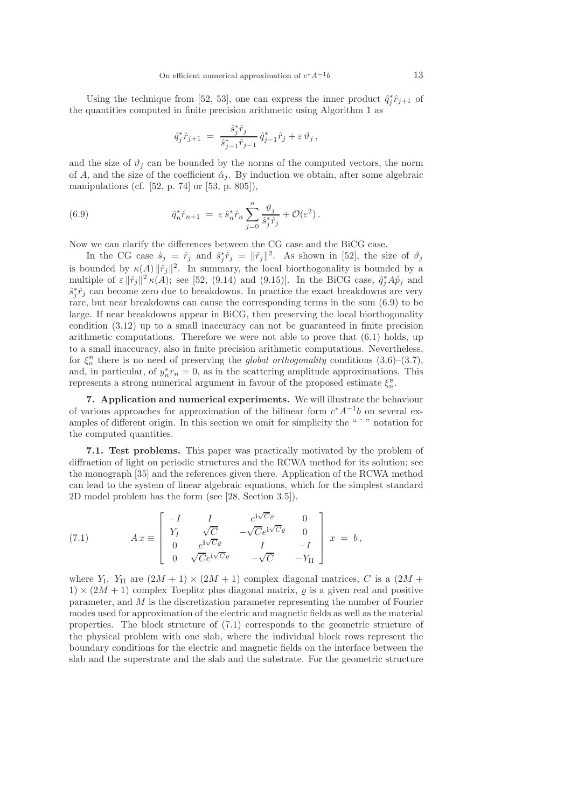Using the technique from [52, 53], one can express the inner product  $\hat{q}_j^* \hat{r}_{j+1}$  of the quantities computed in finite precision arithmetic using Algorithm 1 as

$$
\hat{q}_j^* \hat{r}_{j+1} = \frac{\hat{s}_j^* \hat{r}_j}{\hat{s}_{j-1}^* \hat{r}_{j-1}} \hat{q}_{j-1}^* \hat{r}_j + \varepsilon \vartheta_j,
$$

and the size of  $\vartheta_i$  can be bounded by the norms of the computed vectors, the norm of A, and the size of the coefficient  $\hat{\alpha}_i$ . By induction we obtain, after some algebraic manipulations (cf. [52, p. 74] or [53, p. 805]),

(6.9) 
$$
\hat{q}_n^* \hat{r}_{n+1} = \varepsilon \hat{s}_n^* \hat{r}_n \sum_{j=0}^n \frac{\vartheta_j}{\hat{s}_j^* \hat{r}_j} + \mathcal{O}(\varepsilon^2).
$$

Now we can clarify the differences between the CG case and the BiCG case.

In the CG case  $\hat{s}_j = \hat{r}_j$  and  $\hat{s}_j^* \hat{r}_j = ||\hat{r}_j||^2$ . As shown in [52], the size of  $\vartheta_j$ is bounded by  $\kappa(A) ||\hat{r}_j||^2$ . In summary, the local biorthogonality is bounded by a multiple of  $\varepsilon \|\hat{r}_j\|^2 \kappa(A)$ ; see [52, (9.14) and (9.15)]. In the BiCG case,  $\hat{q}_j^* A \hat{p}_j$  and  $\hat{s}_j^*\hat{r}_j$  can become zero due to breakdowns. In practice the exact breakdowns are very rare, but near breakdowns can cause the corresponding terms in the sum (6.9) to be large. If near breakdowns appear in BiCG, then preserving the local biorthogonality condition (3.12) up to a small inaccuracy can not be guaranteed in finite precision arithmetic computations. Therefore we were not able to prove that  $(6.1)$  holds, up to a small inaccuracy, also in finite precision arithmetic computations. Nevertheless, for  $\xi_n^{\text{B}}$  there is no need of preserving the *global orthogonality* conditions  $(3.6)-(3.7)$ , and, in particular, of  $y_n^* r_n = 0$ , as in the scattering amplitude approximations. This represents a strong numerical argument in favour of the proposed estimate  $\xi_n^{\text{B}}$ .

7. Application and numerical experiments. We will illustrate the behaviour of various approaches for approximation of the bilinear form  $c^*A^{-1}b$  on several examples of different origin. In this section we omit for simplicity the "  $\degree$  " notation for the computed quantities.

7.1. Test problems. This paper was practically motivated by the problem of diffraction of light on periodic structures and the RCWA method for its solution; see the monograph [35] and the references given there. Application of the RCWA method can lead to the system of linear algebraic equations, which for the simplest standard 2D model problem has the form (see [28, Section 3.5]),

(7.1) 
$$
A x \equiv \begin{bmatrix} -I & I & e^{i\sqrt{C}\varrho} & 0\\ Y_I & \sqrt{C} & -\sqrt{C}e^{i\sqrt{C}\varrho} & 0\\ 0 & e^{i\sqrt{C}\varrho} & I & -I\\ 0 & \sqrt{C}e^{i\sqrt{C}\varrho} & -\sqrt{C} & -Y_{II} \end{bmatrix} x = b,
$$

where  $Y_I$ ,  $Y_{II}$  are  $(2M + 1) \times (2M + 1)$  complex diagonal matrices, C is a  $(2M +$  $1) \times (2M + 1)$  complex Toeplitz plus diagonal matrix,  $\rho$  is a given real and positive parameter, and M is the discretization parameter representing the number of Fourier modes used for approximation of the electric and magnetic fields as well as the material properties. The block structure of (7.1) corresponds to the geometric structure of the physical problem with one slab, where the individual block rows represent the boundary conditions for the electric and magnetic fields on the interface between the slab and the superstrate and the slab and the substrate. For the geometric structure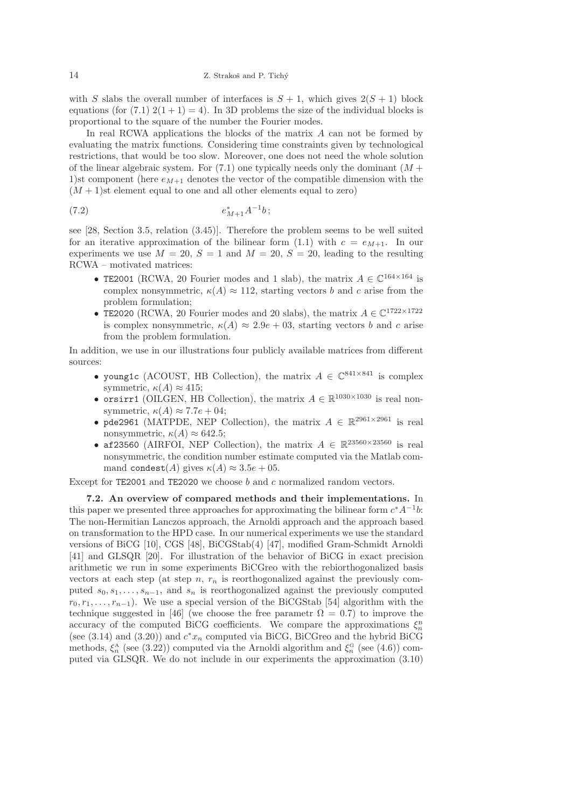with S slabs the overall number of interfaces is  $S + 1$ , which gives  $2(S + 1)$  block equations (for  $(7.1)$   $2(1+1) = 4$ ). In 3D problems the size of the individual blocks is proportional to the square of the number the Fourier modes.

In real RCWA applications the blocks of the matrix  $A$  can not be formed by evaluating the matrix functions. Considering time constraints given by technological restrictions, that would be too slow. Moreover, one does not need the whole solution of the linear algebraic system. For  $(7.1)$  one typically needs only the dominant  $(M +$ 1)st component (here  $e_{M+1}$  denotes the vector of the compatible dimension with the  $(M + 1)$ st element equal to one and all other elements equal to zero)

$$
e_{M+1}^* A^{-1} b\,;
$$

see [28, Section 3.5, relation (3.45)]. Therefore the problem seems to be well suited for an iterative approximation of the bilinear form (1.1) with  $c = e_{M+1}$ . In our experiments we use  $M = 20$ ,  $S = 1$  and  $M = 20$ ,  $S = 20$ , leading to the resulting RCWA – motivated matrices:

- TE2001 (RCWA, 20 Fourier modes and 1 slab), the matrix  $A \in \mathbb{C}^{164 \times 164}$  is complex nonsymmetric,  $\kappa(A) \approx 112$ , starting vectors b and c arise from the problem formulation;
- TE2020 (RCWA, 20 Fourier modes and 20 slabs), the matrix  $A \in \mathbb{C}^{1722 \times 1722}$ is complex nonsymmetric,  $\kappa(A) \approx 2.9e + 0.3$ , starting vectors b and c arise from the problem formulation.

In addition, we use in our illustrations four publicly available matrices from different sources:

- young1c (ACOUST, HB Collection), the matrix  $A \in \mathbb{C}^{841 \times 841}$  is complex symmetric,  $\kappa(A) \approx 415$ ;
- orsirr1 (OILGEN, HB Collection), the matrix  $A \in \mathbb{R}^{1030 \times 1030}$  is real nonsymmetric,  $\kappa(A) \approx 7.7e + 0.4;$
- pde2961 (MATPDE, NEP Collection), the matrix  $A \in \mathbb{R}^{2961 \times 2961}$  is real nonsymmetric,  $\kappa(A) \approx 642.5$ ;
- af23560 (AIRFOI, NEP Collection), the matrix  $A \in \mathbb{R}^{23560 \times 23560}$  is real nonsymmetric, the condition number estimate computed via the Matlab command condest(A) gives  $\kappa(A) \approx 3.5e + 0.5$ .

Except for TE2001 and TE2020 we choose b and c normalized random vectors.

7.2. An overview of compared methods and their implementations. In this paper we presented three approaches for approximating the bilinear form  $c^*A^{-1}b$ : The non-Hermitian Lanczos approach, the Arnoldi approach and the approach based on transformation to the HPD case. In our numerical experiments we use the standard versions of BiCG [10], CGS [48], BiCGStab(4) [47], modified Gram-Schmidt Arnoldi [41] and GLSQR [20]. For illustration of the behavior of BiCG in exact precision arithmetic we run in some experiments BiCGreo with the rebiorthogonalized basis vectors at each step (at step n,  $r_n$  is reorthogonalized against the previously computed  $s_0, s_1, \ldots, s_{n-1}$ , and  $s_n$  is reorthogonalized against the previously computed  $r_0, r_1, \ldots, r_{n-1}$ ). We use a special version of the BiCGStab [54] algorithm with the technique suggested in [46] (we choose the free parametr  $\Omega = 0.7$ ) to improve the accuracy of the computed BiCG coefficients. We compare the approximations  $\xi_n^{\text{B}}$ (see  $(3.14)$  and  $(3.20)$ ) and  $c^*x_n$  computed via BiCG, BiCGreo and the hybrid BiCG methods,  $\xi_n^{\text{A}}$  (see (3.22)) computed via the Arnoldi algorithm and  $\xi_n^{\text{G}}$  (see (4.6)) computed via GLSQR. We do not include in our experiments the approximation (3.10)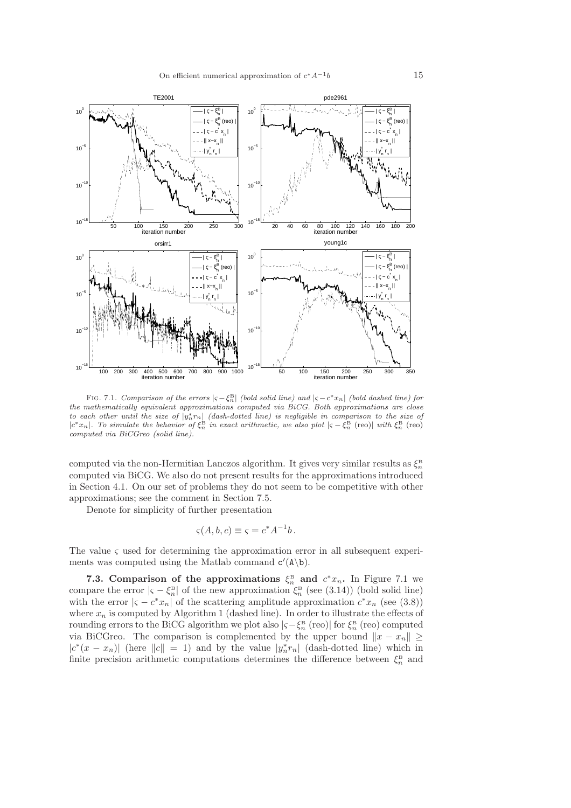

FIG. 7.1. *Comparison of the errors*  $|\varsigma - \xi_n^{\text{B}}|$  *(bold solid line) and*  $|\varsigma - c^*x_n|$  *(bold dashed line) for the mathematically equivalent approximations computed via BiCG. Both approximations are close* to each other until the size of  $|y_n^* r_n|$  (dash-dotted line) is negligible in comparison to the size of  $|c^* x_n|$ . To simulate the behavior of  $\xi_n^R$  in exact arithmetic, we also plot  $|\varsigma - \xi_n^R$  (reo) with  $\xi_n^R$  (reo *computed via BiCGreo (solid line).*

computed via the non-Hermitian Lanczos algorithm. It gives very similar results as  $\xi_n^{\text{B}}$ computed via BiCG. We also do not present results for the approximations introduced in Section 4.1. On our set of problems they do not seem to be competitive with other approximations; see the comment in Section 7.5.

Denote for simplicity of further presentation

$$
\varsigma(A, b, c) \equiv \varsigma = c^* A^{-1} b \, .
$$

The value  $\varsigma$  used for determining the approximation error in all subsequent experiments was computed using the Matlab command  $c'(\mathbf{A}\backslash\mathbf{b})$ .

**7.3.** Comparison of the approximations  $\xi_n^B$  and  $c^*x_n$ . In Figure 7.1 we compare the error  $|\varsigma - \xi_n^{\text{B}}|$  of the new approximation  $\xi_n^{\text{B}}$  (see (3.14)) (bold solid line) with the error  $|\varsigma - c^*x_n|$  of the scattering amplitude approximation  $c^*x_n$  (see (3.8)) where  $x_n$  is computed by Algorithm 1 (dashed line). In order to illustrate the effects of rounding errors to the BiCG algorithm we plot also  $|\varsigma - \xi_n^{\text{B}} \text{ (reo)}|$  for  $\xi_n^{\text{B}} \text{ (reo)}$  computed via BiCGreo. The comparison is complemented by the upper bound  $||x - x_n|| \ge$  $|c^*(x-x_n)|$  (here  $||c|| = 1$ ) and by the value  $|y_n^*r_n|$  (dash-dotted line) which in finite precision arithmetic computations determines the difference between  $\xi_n^{\text{B}}$  and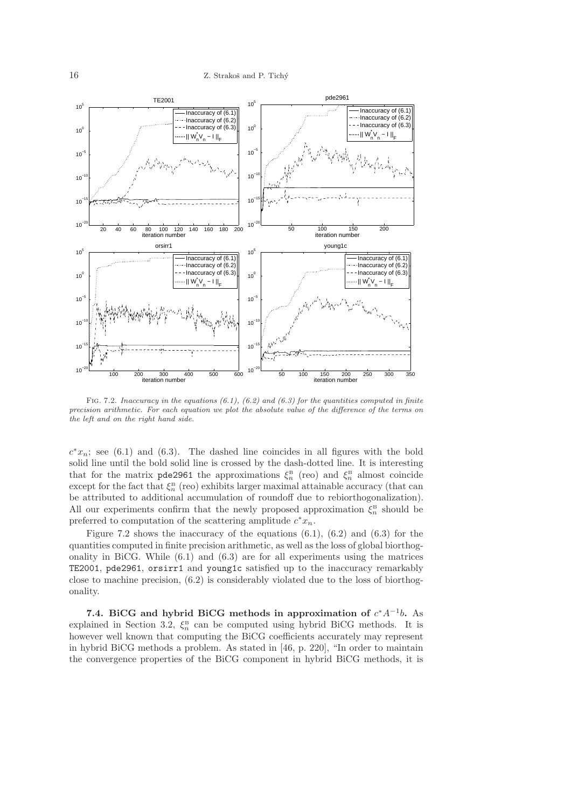

Fig. 7.2. *Inaccuracy in the equations (6.1), (6.2) and (6.3) for the quantities computed in finite precision arithmetic. For each equation we plot the absolute value of the difference of the terms on the left and on the right hand side.*

 $c^*x_n$ ; see (6.1) and (6.3). The dashed line coincides in all figures with the bold solid line until the bold solid line is crossed by the dash-dotted line. It is interesting that for the matrix pde2961 the approximations  $\xi_n^{\text{B}}$  (reo) and  $\xi_n^{\text{B}}$  almost coincide except for the fact that  $\xi_n^{\text{B}}$  (reo) exhibits larger maximal attainable accuracy (that can be attributed to additional accumulation of roundoff due to rebiorthogonalization). All our experiments confirm that the newly proposed approximation  $\xi_n^{\text{B}}$  should be preferred to computation of the scattering amplitude  $c^*x_n$ .

Figure 7.2 shows the inaccuracy of the equations  $(6.1)$ ,  $(6.2)$  and  $(6.3)$  for the quantities computed in finite precision arithmetic, as well as the loss of global biorthogonality in BiCG. While  $(6.1)$  and  $(6.3)$  are for all experiments using the matrices TE2001, pde2961, orsirr1 and young1c satisfied up to the inaccuracy remarkably close to machine precision, (6.2) is considerably violated due to the loss of biorthogonality.

7.4. BiCG and hybrid BiCG methods in approximation of  $c^*A^{-1}b$ . As explained in Section 3.2,  $\xi_n^B$  can be computed using hybrid BiCG methods. It is however well known that computing the BiCG coefficients accurately may represent in hybrid BiCG methods a problem. As stated in [46, p. 220], "In order to maintain the convergence properties of the BiCG component in hybrid BiCG methods, it is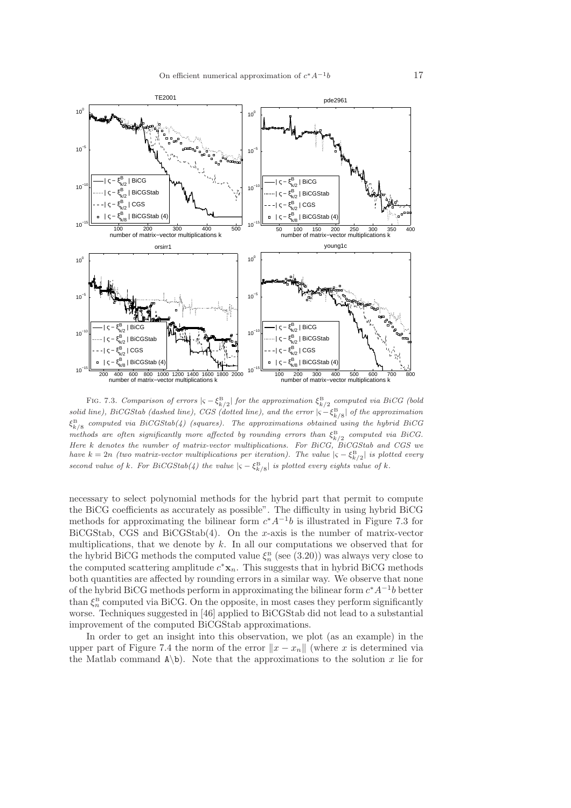

FIG. 7.3. *Comparison of errors*  $|\varsigma - \xi_{k/2}^{\text{B}}|$  *for the approximation*  $\xi_{k/2}^{\text{B}}$  *computed via BiCG* (bold  $solid line$ ),  $BiCGStab$  (dashed line),  $CGS$  (dotted line), and the error  $| \varsigma - \xi_{k/8}^{\rm B} |$  of the approximation ξ B *computed via BiCGStab(4) (squares). The approximations obtained using the hybrid BiCG*  $\sqrt{k}/8$ *methods are often significantly more affected by rounding errors than*  $\xi_{k/2}^{\text{B}}$  *computed via BiCG. Here* k *denotes the number of matrix-vector multiplications. For BiCG, BiCGStab and CGS we have*  $k = 2n$  *(two matrix-vector multiplications per iteration). The value*  $|\varsigma - \xi_{k/2}^{\text{B}}|$  *is plotted every second value of*  $k$ *. For BiCGStab*( $4$ ) the value  $|\varsigma - \xi_{k/8}^{\rm B}|$  is plotted every eights value of  $k$ .

necessary to select polynomial methods for the hybrid part that permit to compute the BiCG coefficients as accurately as possible". The difficulty in using hybrid BiCG methods for approximating the bilinear form  $c^*A^{-1}b$  is illustrated in Figure 7.3 for BiCGStab, CGS and BiCGStab(4). On the x-axis is the number of matrix-vector multiplications, that we denote by  $k$ . In all our computations we observed that for the hybrid BiCG methods the computed value  $\xi_n^{\text{B}}$  (see (3.20)) was always very close to the computed scattering amplitude  $c^* \mathbf{x}_n$ . This suggests that in hybrid BiCG methods both quantities are affected by rounding errors in a similar way. We observe that none of the hybrid BiCG methods perform in approximating the bilinear form  $c^*A^{-1}b$  better than  $\xi_n^B$  computed via BiCG. On the opposite, in most cases they perform significantly worse. Techniques suggested in [46] applied to BiCGStab did not lead to a substantial improvement of the computed BiCGStab approximations.

In order to get an insight into this observation, we plot (as an example) in the upper part of Figure 7.4 the norm of the error  $||x - x_n||$  (where x is determined via the Matlab command  $A\backslash B$ . Note that the approximations to the solution x lie for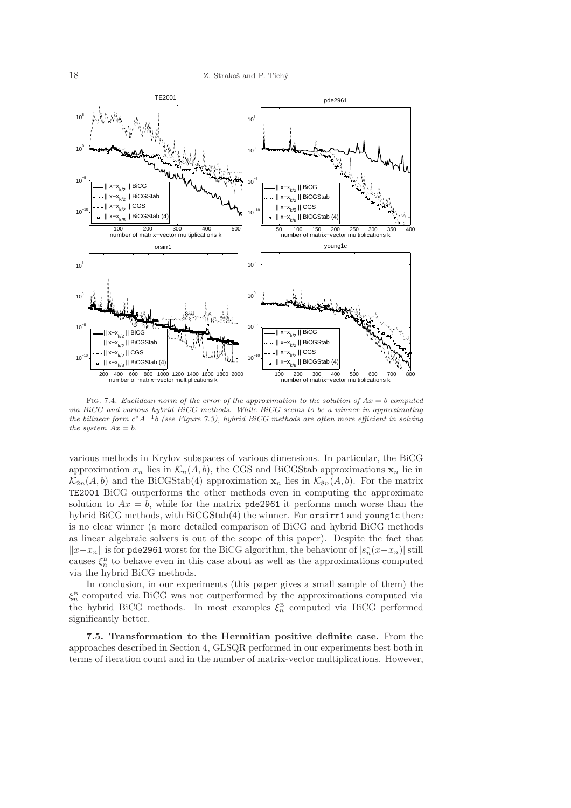

Fig. 7.4. *Euclidean norm of the error of the approximation to the solution of* Ax = b *computed via BiCG and various hybrid BiCG methods. While BiCG seems to be a winner in approximating the bilinear form* c <sup>∗</sup>A−<sup>1</sup> b *(see Figure 7.3), hybrid BiCG methods are often more efficient in solving the system*  $Ax = b$ *.* 

various methods in Krylov subspaces of various dimensions. In particular, the BiCG approximation  $x_n$  lies in  $\mathcal{K}_n(A, b)$ , the CGS and BiCGStab approximations  $x_n$  lie in  $\mathcal{K}_{2n}(A, b)$  and the BiCGStab(4) approximation  $\mathbf{x}_n$  lies in  $\mathcal{K}_{8n}(A, b)$ . For the matrix TE2001 BiCG outperforms the other methods even in computing the approximate solution to  $Ax = b$ , while for the matrix pde2961 it performs much worse than the hybrid BiCG methods, with BiCGStab(4) the winner. For **orsirr1** and young1c there is no clear winner (a more detailed comparison of BiCG and hybrid BiCG methods as linear algebraic solvers is out of the scope of this paper). Despite the fact that  $||x-x_n||$  is for pde2961 worst for the BiCG algorithm, the behaviour of  $|s_n^*(x-x_n)|$  still causes  $\xi_n^{\text{B}}$  to behave even in this case about as well as the approximations computed via the hybrid BiCG methods.

In conclusion, in our experiments (this paper gives a small sample of them) the  $\xi_n^{\text{B}}$  computed via BiCG was not outperformed by the approximations computed via the hybrid BiCG methods. In most examples  $\xi_n^B$  computed via BiCG performed significantly better.

7.5. Transformation to the Hermitian positive definite case. From the approaches described in Section 4, GLSQR performed in our experiments best both in terms of iteration count and in the number of matrix-vector multiplications. However,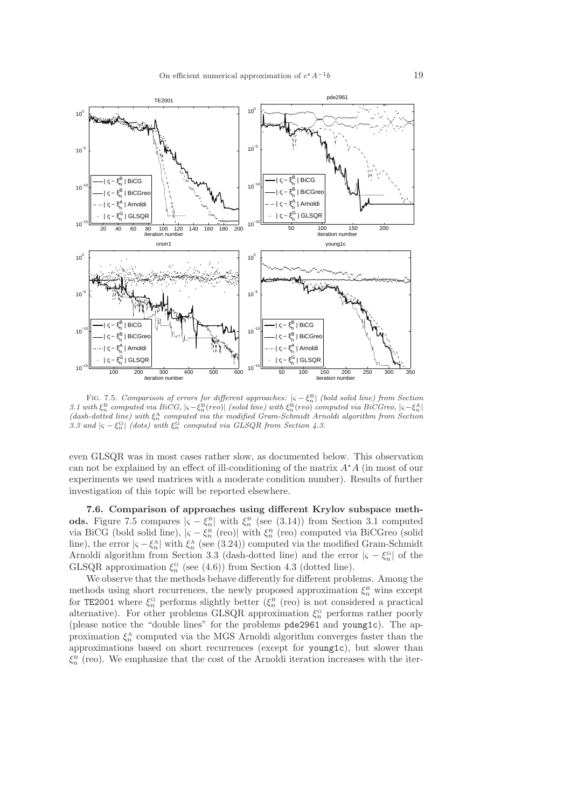

FIG. 7.5. *Comparison of errors for different approaches:*  $|\varsigma - \xi_n^{\text{B}}|$  (bold solid line) from Section  $3.1$  with  $\xi_n^{\text{B}}$  *computed via BiCG,*  $|\varsigma-\xi_n^{\text{B}}(reo)|$  *(solid line) with*  $\xi_n^{\text{B}}(reo)$  *computed via BiCGreo,*  $|\varsigma-\xi_n^{\text{A}}|$ *(dash-dotted line) with* ξ A <sup>n</sup> *computed via the modified Gram-Schmidt Arnoldi algorithm from Section* 3.3 and  $|\varsigma - \xi_n^{\text{G}}|$  (dots) with  $\xi_n^{\text{G}}$  computed via GLSQR from Section 4.3.

even GLSQR was in most cases rather slow, as documented below. This observation can not be explained by an effect of ill-conditioning of the matrix  $A^*A$  (in most of our experiments we used matrices with a moderate condition number). Results of further investigation of this topic will be reported elsewhere.

7.6. Comparison of approaches using different Krylov subspace methods. Figure 7.5 compares  $|\varsigma - \xi_n^{\text{B}}|$  with  $\xi_n^{\text{B}}$  (see (3.14)) from Section 3.1 computed via BiCG (bold solid line),  $|\varsigma - \xi_n^{\text{B}}|$  (reo)| with  $\xi_n^{\text{B}}$  (reo) computed via BiCGreo (solid line), the error  $|\varsigma - \xi_n^{\mathcal{A}}|$  with  $\xi_n^{\mathcal{A}}$  (see (3.24)) computed via the modified Gram-Schmidt Arnoldi algorithm from Section 3.3 (dash-dotted line) and the error  $|\varsigma - \xi_n^{\text{G}}|$  of the GLSQR approximation  $\xi_n^G$  (see (4.6)) from Section 4.3 (dotted line).

We observe that the methods behave differently for different problems. Among the methods using short recurrences, the newly proposed approximation  $\xi_n^{\text{B}}$  wins except for TE2001 where  $\xi_n^G$  performs slightly better ( $\xi_n^B$  (reo) is not considered a practical alternative). For other problems GLSQR approximation  $\xi_n^G$  performs rather poorly (please notice the "double lines" for the problems pde2961 and young1c). The approximation  $\xi_n^{\text{A}}$  computed via the MGS Arnoldi algorithm converges faster than the approximations based on short recurrences (except for young1c), but slower than  $\xi_n^{\text{B}}$  (reo). We emphasize that the cost of the Arnoldi iteration increases with the iter-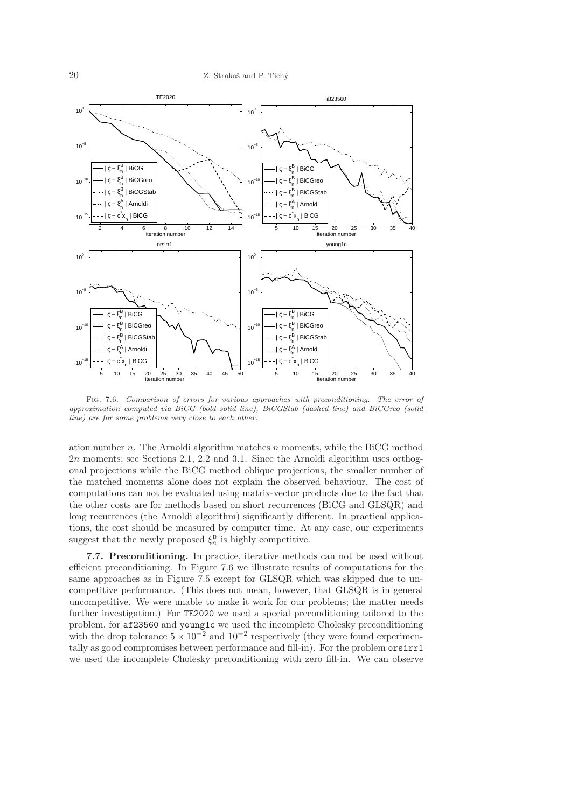

Fig. 7.6. *Comparison of errors for various approaches with preconditioning. The error of approximation computed via BiCG (bold solid line), BiCGStab (dashed line) and BiCGreo (solid line) are for some problems very close to each other.*

ation number n. The Arnoldi algorithm matches n moments, while the BiCG method 2n moments; see Sections 2.1, 2.2 and 3.1. Since the Arnoldi algorithm uses orthogonal projections while the BiCG method oblique projections, the smaller number of the matched moments alone does not explain the observed behaviour. The cost of computations can not be evaluated using matrix-vector products due to the fact that the other costs are for methods based on short recurrences (BiCG and GLSQR) and long recurrences (the Arnoldi algorithm) significantly different. In practical applications, the cost should be measured by computer time. At any case, our experiments suggest that the newly proposed  $\xi_n^{\text{B}}$  is highly competitive.

7.7. Preconditioning. In practice, iterative methods can not be used without efficient preconditioning. In Figure 7.6 we illustrate results of computations for the same approaches as in Figure 7.5 except for GLSQR which was skipped due to uncompetitive performance. (This does not mean, however, that GLSQR is in general uncompetitive. We were unable to make it work for our problems; the matter needs further investigation.) For TE2020 we used a special preconditioning tailored to the problem, for af23560 and young1c we used the incomplete Cholesky preconditioning with the drop tolerance  $5 \times 10^{-2}$  and  $10^{-2}$  respectively (they were found experimentally as good compromises between performance and fill-in). For the problem orsirr1 we used the incomplete Cholesky preconditioning with zero fill-in. We can observe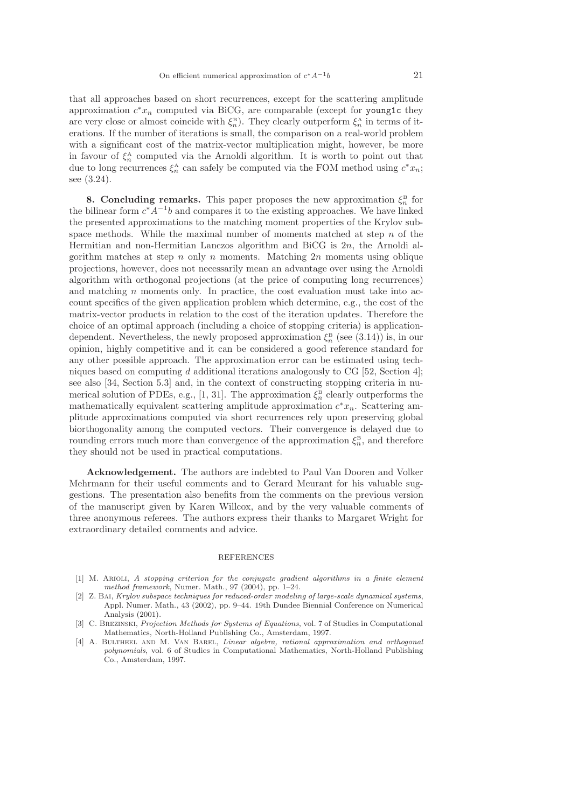that all approaches based on short recurrences, except for the scattering amplitude approximation  $c^*x_n$  computed via BiCG, are comparable (except for young1c they are very close or almost coincide with  $\xi_n^B$ ). They clearly outperform  $\xi_n^A$  in terms of iterations. If the number of iterations is small, the comparison on a real-world problem with a significant cost of the matrix-vector multiplication might, however, be more in favour of  $\xi_n^{\mathcal{A}}$  computed via the Arnoldi algorithm. It is worth to point out that due to long recurrences  $\xi_n^{\mathbf{A}}$  can safely be computed via the FOM method using  $c^*x_n$ ; see (3.24).

**8. Concluding remarks.** This paper proposes the new approximation  $\xi_n^{\text{B}}$  for the bilinear form  $c^*A^{-1}b$  and compares it to the existing approaches. We have linked the presented approximations to the matching moment properties of the Krylov subspace methods. While the maximal number of moments matched at step  $n$  of the Hermitian and non-Hermitian Lanczos algorithm and BiCG is 2n, the Arnoldi algorithm matches at step  $n$  only  $n$  moments. Matching  $2n$  moments using oblique projections, however, does not necessarily mean an advantage over using the Arnoldi algorithm with orthogonal projections (at the price of computing long recurrences) and matching  $n$  moments only. In practice, the cost evaluation must take into account specifics of the given application problem which determine, e.g., the cost of the matrix-vector products in relation to the cost of the iteration updates. Therefore the choice of an optimal approach (including a choice of stopping criteria) is applicationdependent. Nevertheless, the newly proposed approximation  $\xi_n^{\text{B}}$  (see (3.14)) is, in our opinion, highly competitive and it can be considered a good reference standard for any other possible approach. The approximation error can be estimated using techniques based on computing d additional iterations analogously to CG [52, Section 4]; see also [34, Section 5.3] and, in the context of constructing stopping criteria in numerical solution of PDEs, e.g., [1, 31]. The approximation  $\xi_n^{\text{B}}$  clearly outperforms the mathematically equivalent scattering amplitude approximation  $c^*x_n$ . Scattering amplitude approximations computed via short recurrences rely upon preserving global biorthogonality among the computed vectors. Their convergence is delayed due to rounding errors much more than convergence of the approximation  $\xi_n^{\text{B}}$ , and therefore they should not be used in practical computations.

Acknowledgement. The authors are indebted to Paul Van Dooren and Volker Mehrmann for their useful comments and to Gerard Meurant for his valuable suggestions. The presentation also benefits from the comments on the previous version of the manuscript given by Karen Willcox, and by the very valuable comments of three anonymous referees. The authors express their thanks to Margaret Wright for extraordinary detailed comments and advice.

#### REFERENCES

- [1] M. Arioli, *A stopping criterion for the conjugate gradient algorithms in a finite element method framework*, Numer. Math., 97 (2004), pp. 1–24.
- [2] Z. Bai, *Krylov subspace techniques for reduced-order modeling of large-scale dynamical systems*, Appl. Numer. Math., 43 (2002), pp. 9–44. 19th Dundee Biennial Conference on Numerical Analysis (2001).
- [3] C. Brezinski, *Projection Methods for Systems of Equations*, vol. 7 of Studies in Computational Mathematics, North-Holland Publishing Co., Amsterdam, 1997.
- [4] A. Bultheel and M. Van Barel, *Linear algebra, rational approximation and orthogonal polynomials*, vol. 6 of Studies in Computational Mathematics, North-Holland Publishing Co., Amsterdam, 1997.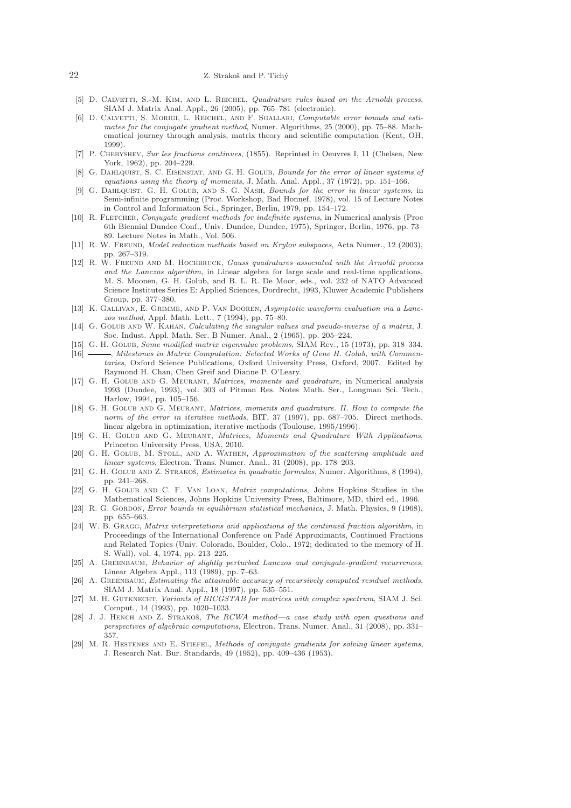#### 22 Z. Strakoš and P. Tichý

- [5] D. Calvetti, S.-M. Kim, and L. Reichel, *Quadrature rules based on the Arnoldi process*, SIAM J. Matrix Anal. Appl., 26 (2005), pp. 765–781 (electronic).
- [6] D. Calvetti, S. Morigi, L. Reichel, and F. Sgallari, *Computable error bounds and estimates for the conjugate gradient method*, Numer. Algorithms, 25 (2000), pp. 75–88. Mathematical journey through analysis, matrix theory and scientific computation (Kent, OH, 1999).
- [7] P. Chebyshev, *Sur les fractions continues*, (1855). Reprinted in Oeuvres I, 11 (Chelsea, New York, 1962), pp. 204–229.
- [8] G. Dahlquist, S. C. Eisenstat, and G. H. Golub, *Bounds for the error of linear systems of equations using the theory of moments*, J. Math. Anal. Appl., 37 (1972), pp. 151–166.
- [9] G. Dahlquist, G. H. Golub, and S. G. Nash, *Bounds for the error in linear systems*, in Semi-infinite programming (Proc. Workshop, Bad Honnef, 1978), vol. 15 of Lecture Notes in Control and Information Sci., Springer, Berlin, 1979, pp. 154–172.
- [10] R. Fletcher, *Conjugate gradient methods for indefinite systems*, in Numerical analysis (Proc 6th Biennial Dundee Conf., Univ. Dundee, Dundee, 1975), Springer, Berlin, 1976, pp. 73– 89. Lecture Notes in Math., Vol. 506.
- [11] R. W. Freund, *Model reduction methods based on Krylov subspaces*, Acta Numer., 12 (2003), pp. 267–319.
- [12] R. W. Freund and M. Hochbruck, *Gauss quadratures associated with the Arnoldi process and the Lanczos algorithm*, in Linear algebra for large scale and real-time applications, M. S. Moonen, G. H. Golub, and B. L. R. De Moor, eds., vol. 232 of NATO Advanced Science Institutes Series E: Applied Sciences, Dordrecht, 1993, Kluwer Academic Publishers Group, pp. 377–380.
- [13] K. Gallivan, E. Grimme, and P. Van Dooren, *Asymptotic waveform evaluation via a Lanczos method*, Appl. Math. Lett., 7 (1994), pp. 75–80.
- [14] G. Golub and W. Kahan, *Calculating the singular values and pseudo-inverse of a matrix*, J. Soc. Indust. Appl. Math. Ser. B Numer. Anal., 2 (1965), pp. 205–224.
- [15] G. H. Golub, *Some modified matrix eigenvalue problems*, SIAM Rev., 15 (1973), pp. 318–334.  $-$ , *Milestones in Matrix Computation: Selected Works of Gene H. Golub, with Commentaries*, Oxford Science Publications, Oxford University Press, Oxford, 2007. Edited by Raymond H. Chan, Chen Greif and Dianne P. O'Leary.
- [17] G. H. Golub and G. Meurant, *Matrices, moments and quadrature*, in Numerical analysis 1993 (Dundee, 1993), vol. 303 of Pitman Res. Notes Math. Ser., Longman Sci. Tech., Harlow, 1994, pp. 105–156.
- [18] G. H. Golub and G. Meurant, *Matrices, moments and quadrature. II. How to compute the norm of the error in iterative methods*, BIT, 37 (1997), pp. 687–705. Direct methods, linear algebra in optimization, iterative methods (Toulouse, 1995/1996).
- [19] G. H. Golub and G. Meurant, *Matrices, Moments and Quadrature With Applications*, Princeton University Press, USA, 2010.
- [20] G. H. Golub, M. Stoll, and A. Wathen, *Approximation of the scattering amplitude and linear systems*, Electron. Trans. Numer. Anal., 31 (2008), pp. 178–203.
- [21] G. H. GOLUB AND Z. STRAKOŠ, *Estimates in quadratic formulas*, Numer. Algorithms, 8 (1994), pp. 241–268.
- [22] G. H. Golub and C. F. Van Loan, *Matrix computations*, Johns Hopkins Studies in the Mathematical Sciences, Johns Hopkins University Press, Baltimore, MD, third ed., 1996.
- [23] R. G. GORDON, *Error bounds in equilibrium statistical mechanics*, J. Math. Physics, 9 (1968), pp. 655–663.
- [24] W. B. Gragg, *Matrix interpretations and applications of the continued fraction algorithm*, in Proceedings of the International Conference on Padé Approximants, Continued Fractions and Related Topics (Univ. Colorado, Boulder, Colo., 1972; dedicated to the memory of H. S. Wall), vol. 4, 1974, pp. 213–225.
- [25] A. Greenbaum, *Behavior of slightly perturbed Lanczos and conjugate-gradient recurrences*, Linear Algebra Appl., 113 (1989), pp. 7–63.
- [26] A. Greenbaum, *Estimating the attainable accuracy of recursively computed residual methods*, SIAM J. Matrix Anal. Appl., 18 (1997), pp. 535–551.
- [27] M. H. Gutknecht, *Variants of BICGSTAB for matrices with complex spectrum*, SIAM J. Sci. Comput., 14 (1993), pp. 1020–1033.
- [28] J. J. HENCH AND Z. STRAKOŠ, *The RCWA method—a case study with open questions and perspectives of algebraic computations*, Electron. Trans. Numer. Anal., 31 (2008), pp. 331– 357.
- [29] M. R. Hestenes and E. Stiefel, *Methods of conjugate gradients for solving linear systems*, J. Research Nat. Bur. Standards, 49 (1952), pp. 409–436 (1953).